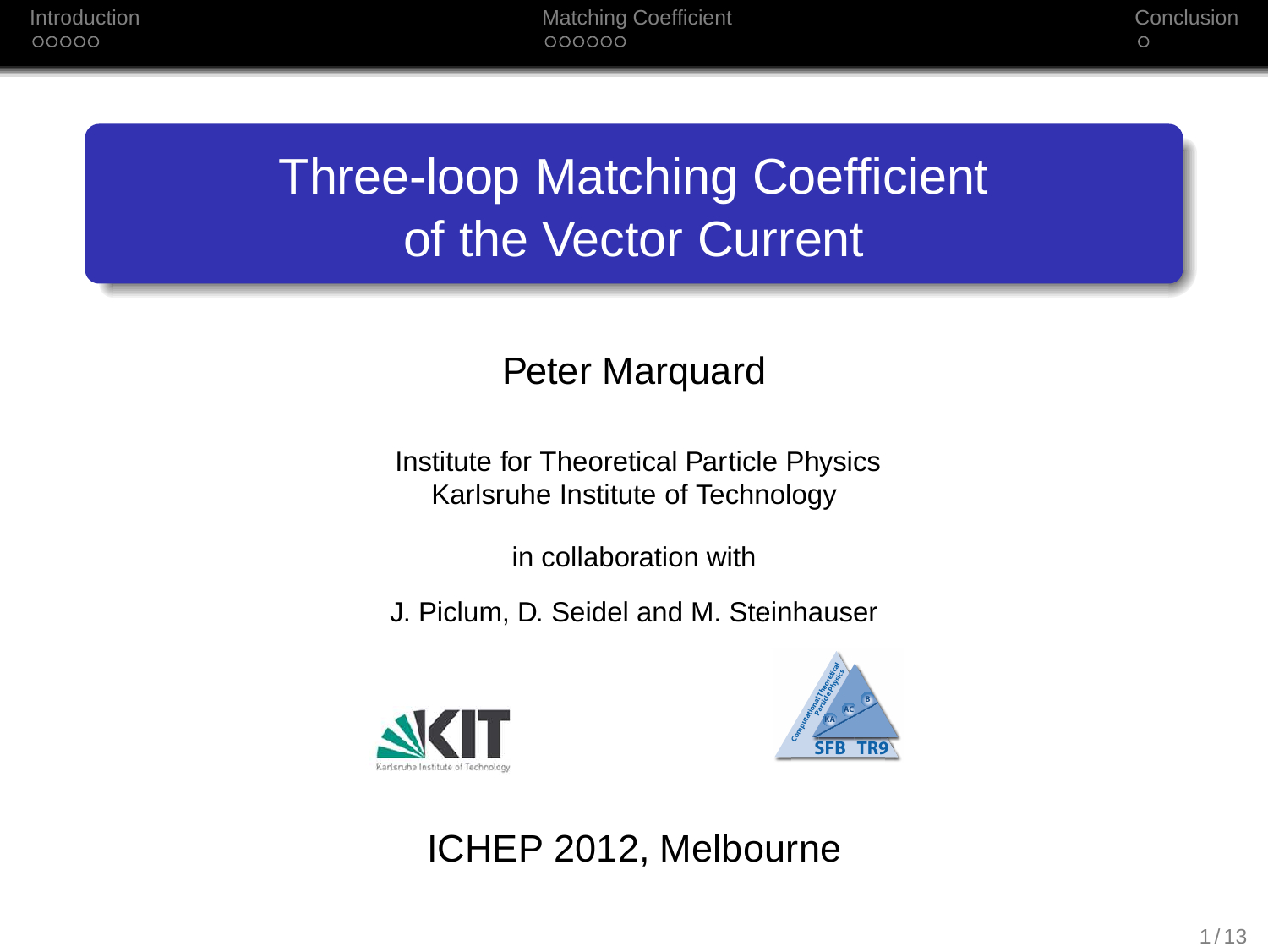# Three-loop Matching Coefficient of the Vector Current

### Peter Marquard

Institute for Theoretical Particle Physics Karlsruhe Institute of Technology

in collaboration with

J. Piclum, D. Seidel and M. Steinhauser





ICHEP 2012, Melbourne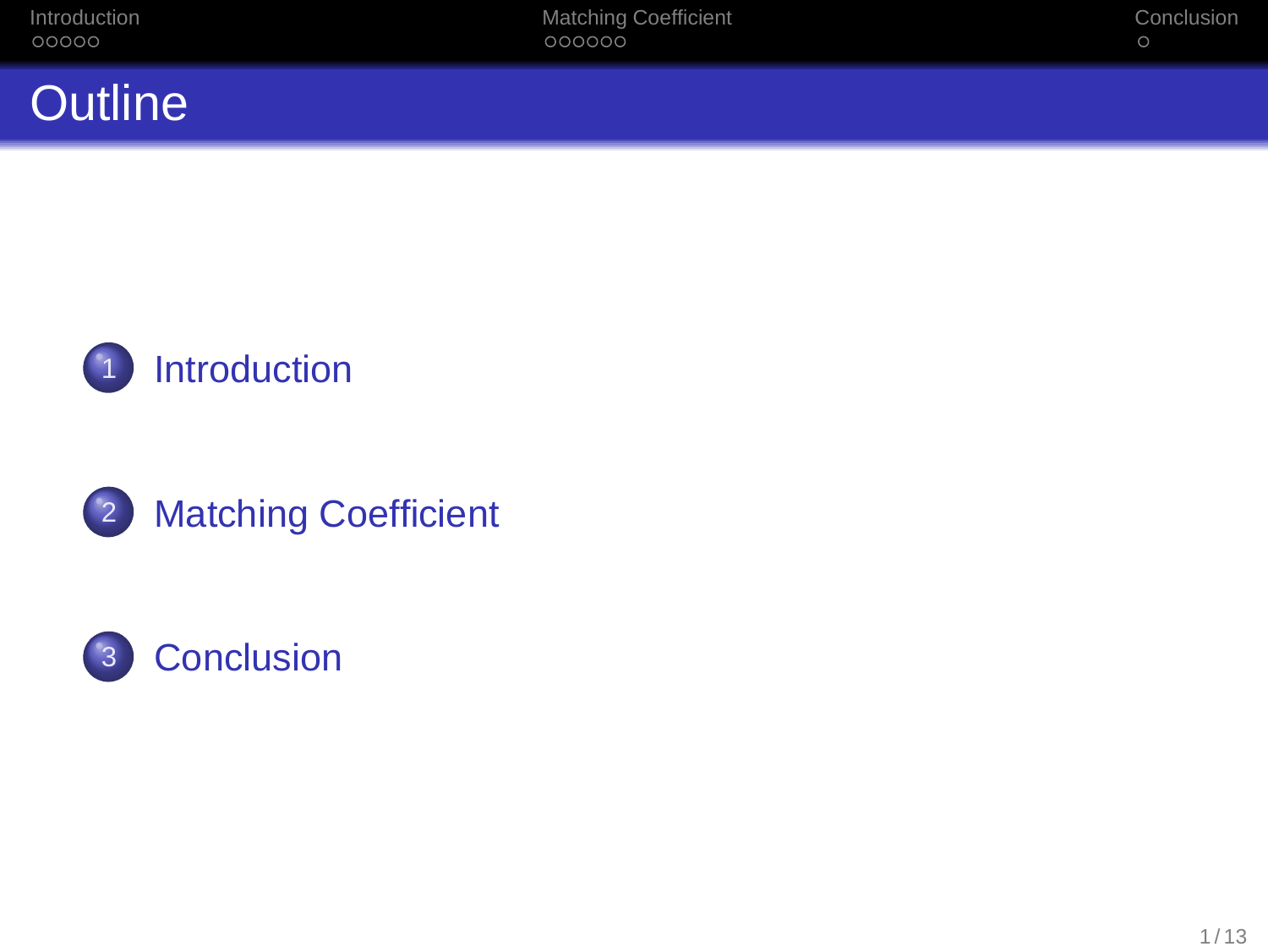| Introduction<br>00000 | <b>Matching Coefficient</b><br>000000 | Conclusion |
|-----------------------|---------------------------------------|------------|
| <b>Outline</b>        |                                       |            |





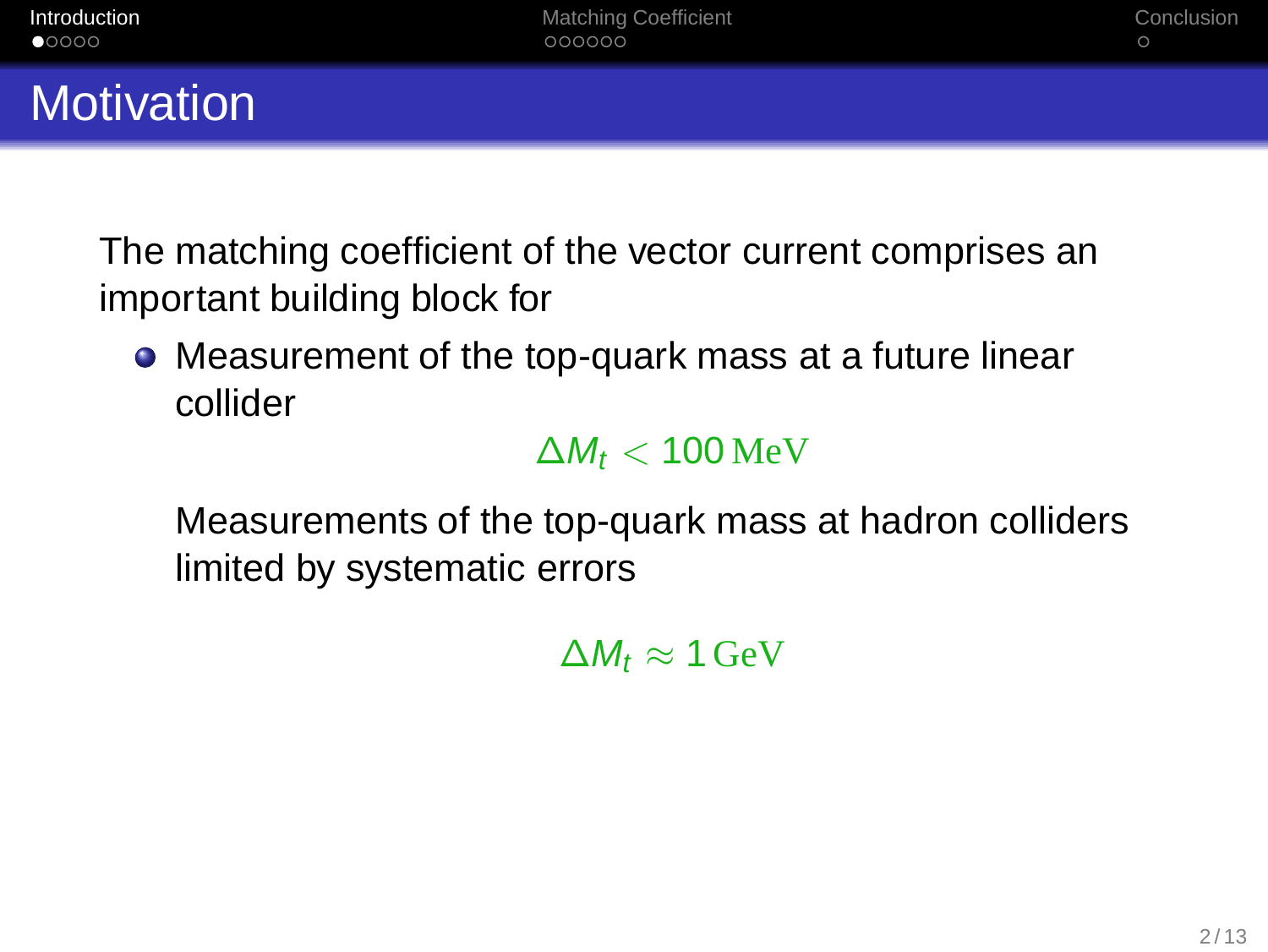

The matching coefficient of the vector current comprises an important building block for

Measurement of the top-quark mass at a future linear collider

### $\Delta M_t < 100$  MeV

Measurements of the top-quark mass at hadron colliders limited by systematic errors

<span id="page-2-0"></span> $\Delta M_t \approx 1$  GeV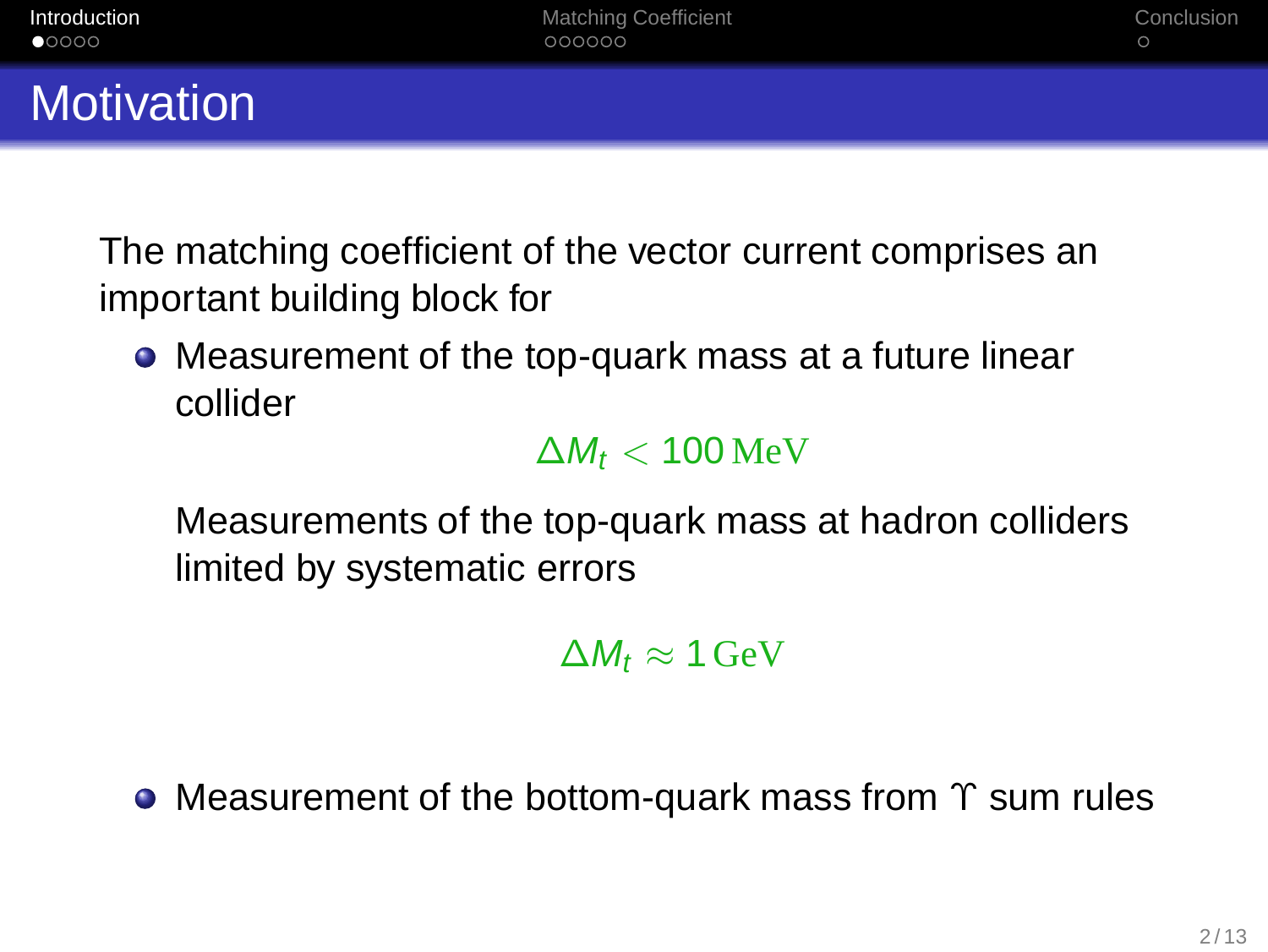

The matching coefficient of the vector current comprises an important building block for

Measurement of the top-quark mass at a future linear collider

#### $\Delta M_t < 100$  MeV

Measurements of the top-quark mass at hadron colliders limited by systematic errors

 $\Delta M_t \approx 1$  GeV

• Measurement of the bottom-quark mass from  $\Upsilon$  sum rules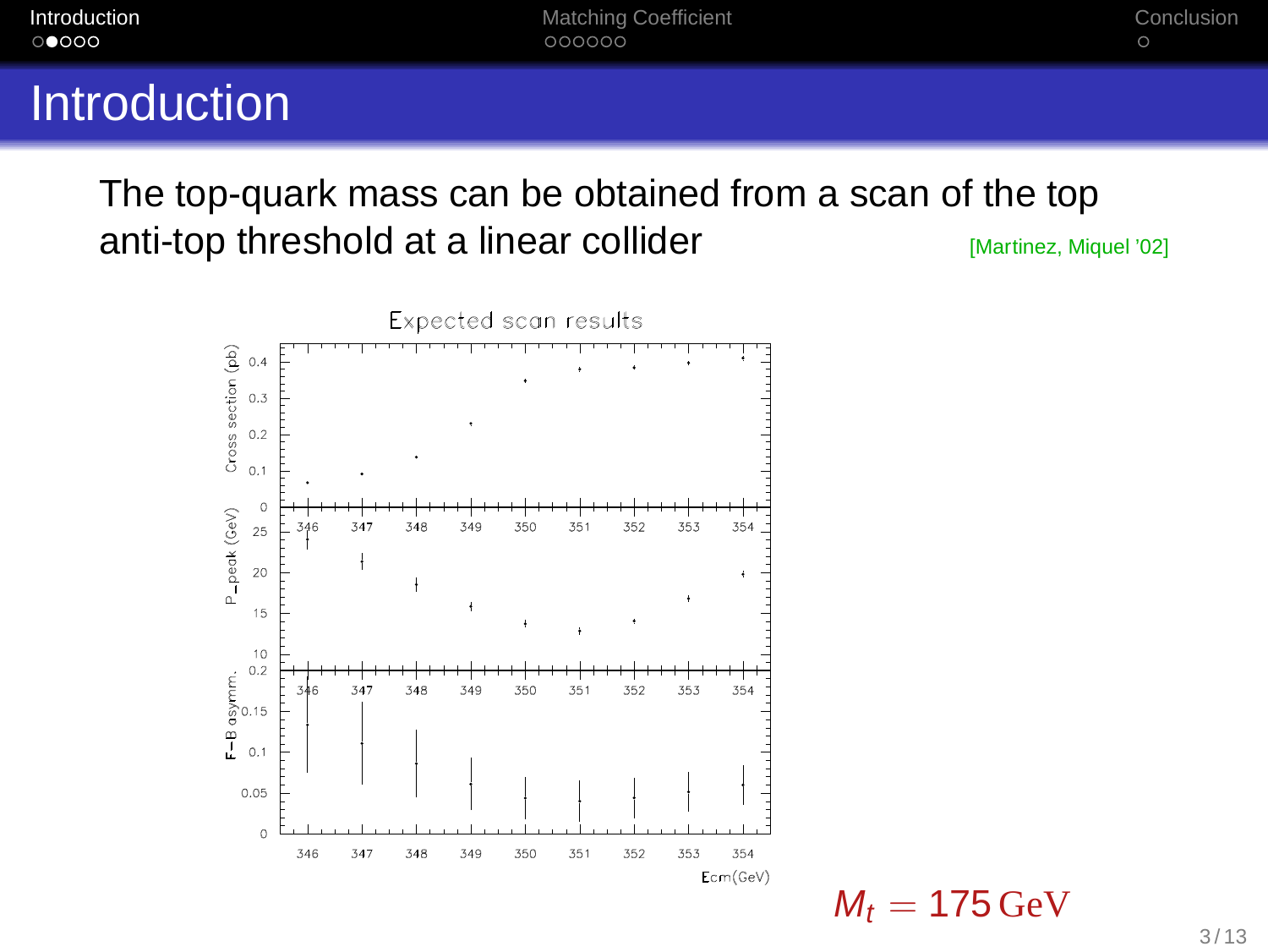

The top-quark mass can be obtained from a scan of the top anti-top threshold at a linear collider **[Martinez, Miquel** '02]



 $M_t = 175 \,\text{GeV}$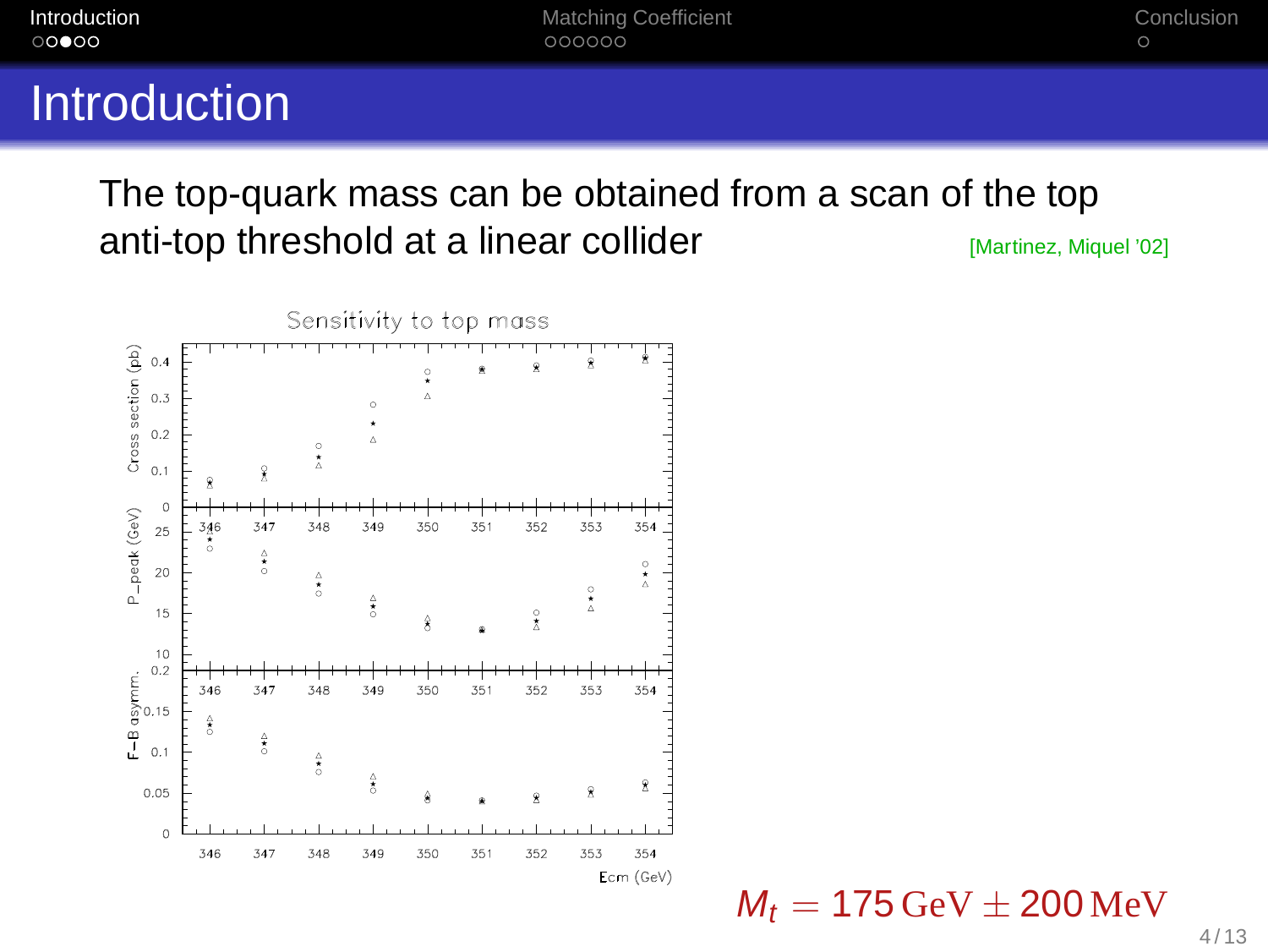| Introduction<br>$\circ$ 0000 | <b>Matching Coefficient</b><br>000000 | Conclusion |
|------------------------------|---------------------------------------|------------|
| <b>Introduction</b>          |                                       |            |

The top-quark mass can be obtained from a scan of the top anti-top threshold at a linear collider **[Martinez, Miquel** '02]



 $M_t = 175 \,\text{GeV} \pm 200 \,\text{MeV}$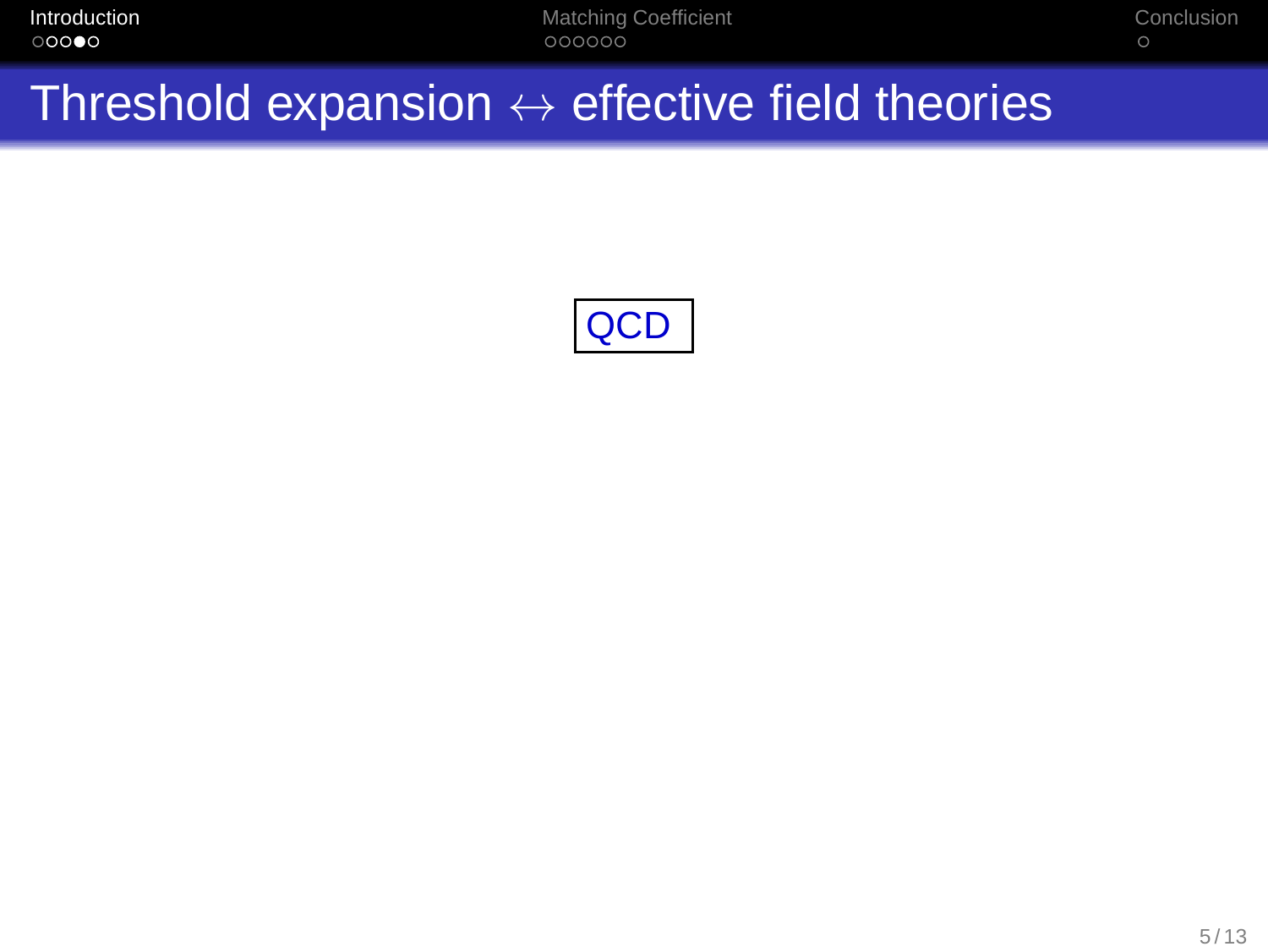| Introduction |
|--------------|
| ററൈ          |

[Introduction](#page-2-0) [Matching Coefficient](#page-11-0) [Conclusion](#page-31-0)

### Threshold expansion  $\leftrightarrow$  effective field theories

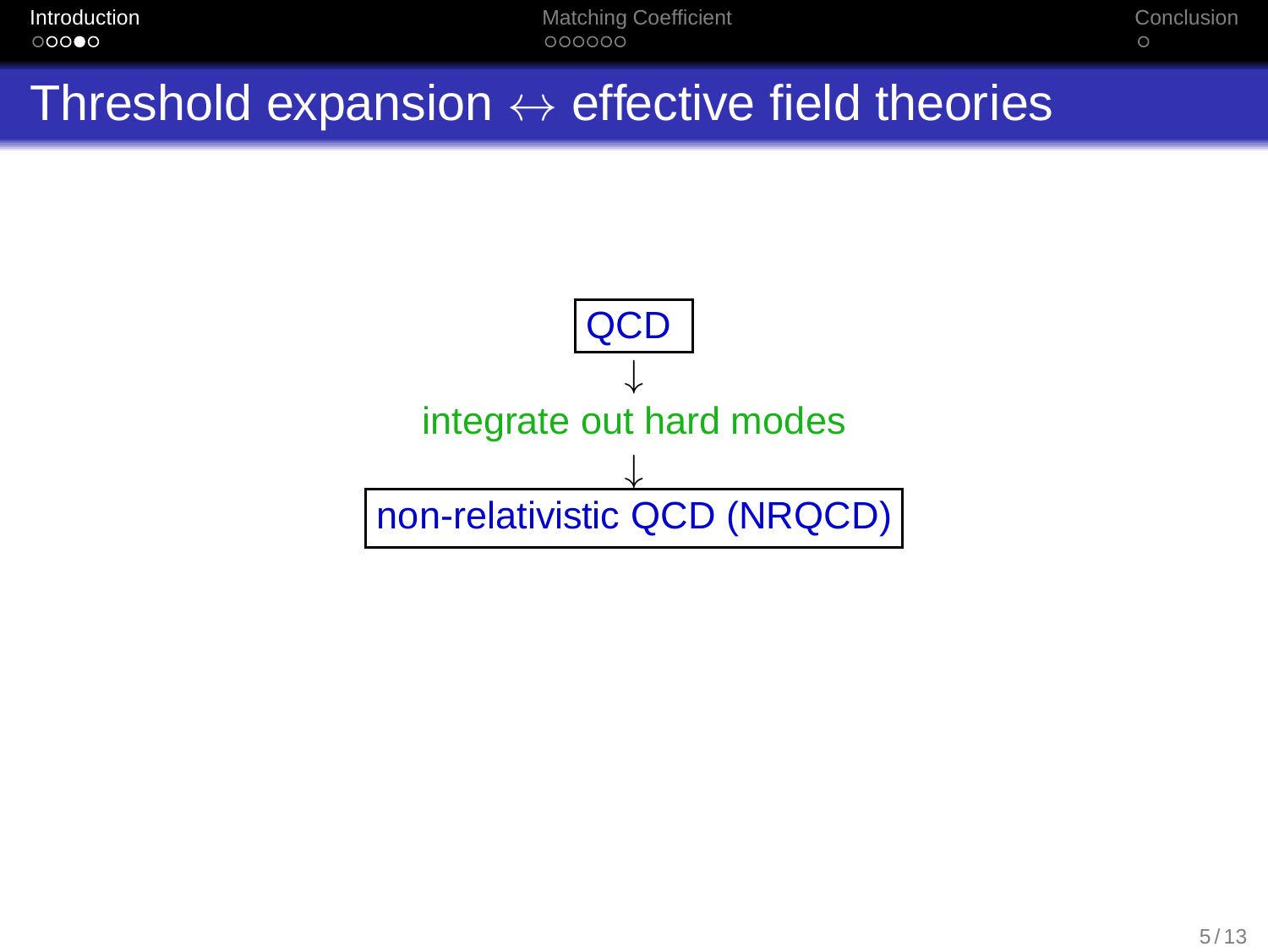### Threshold expansion  $\leftrightarrow$  effective field theories

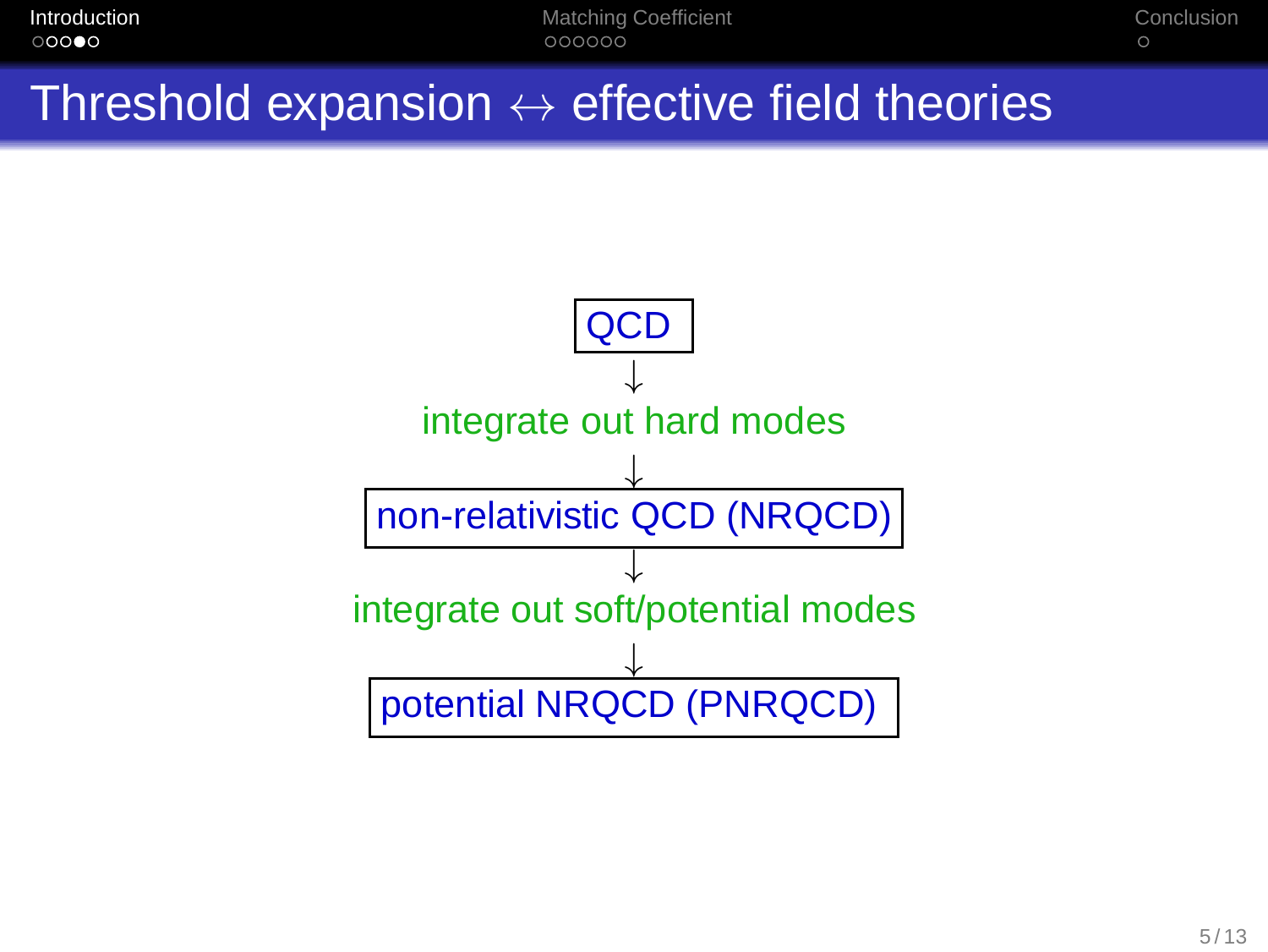### Threshold expansion  $\leftrightarrow$  effective field theories

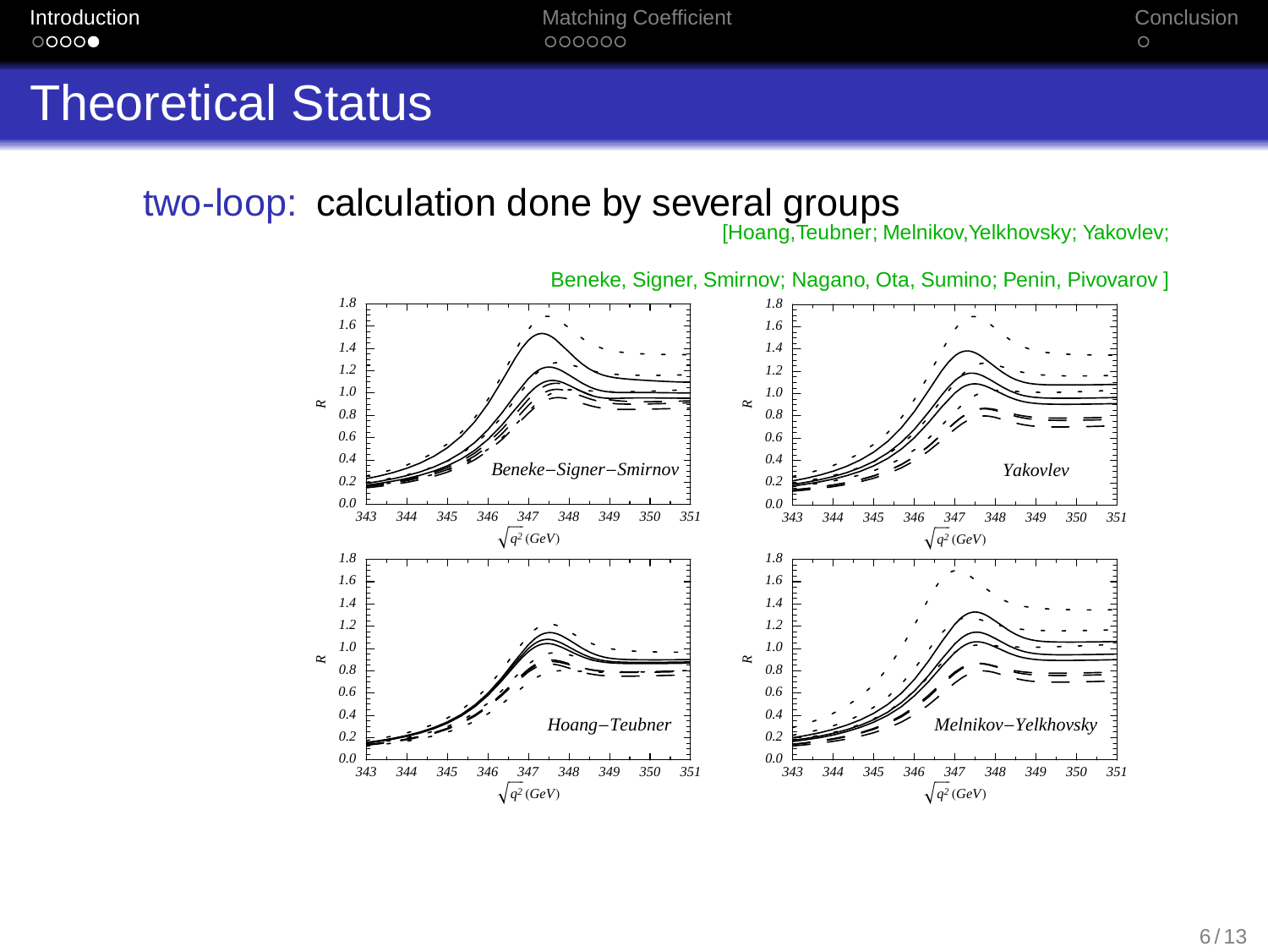[Introduction](#page-2-0) [Matching Coefficient](#page-11-0) [Conclusion](#page-31-0)

# Theoretical Status

### two-loop: calculation done by several groups

[Hoang,Teubner; Melnikov,Yelkhovsky; Yakovlev;

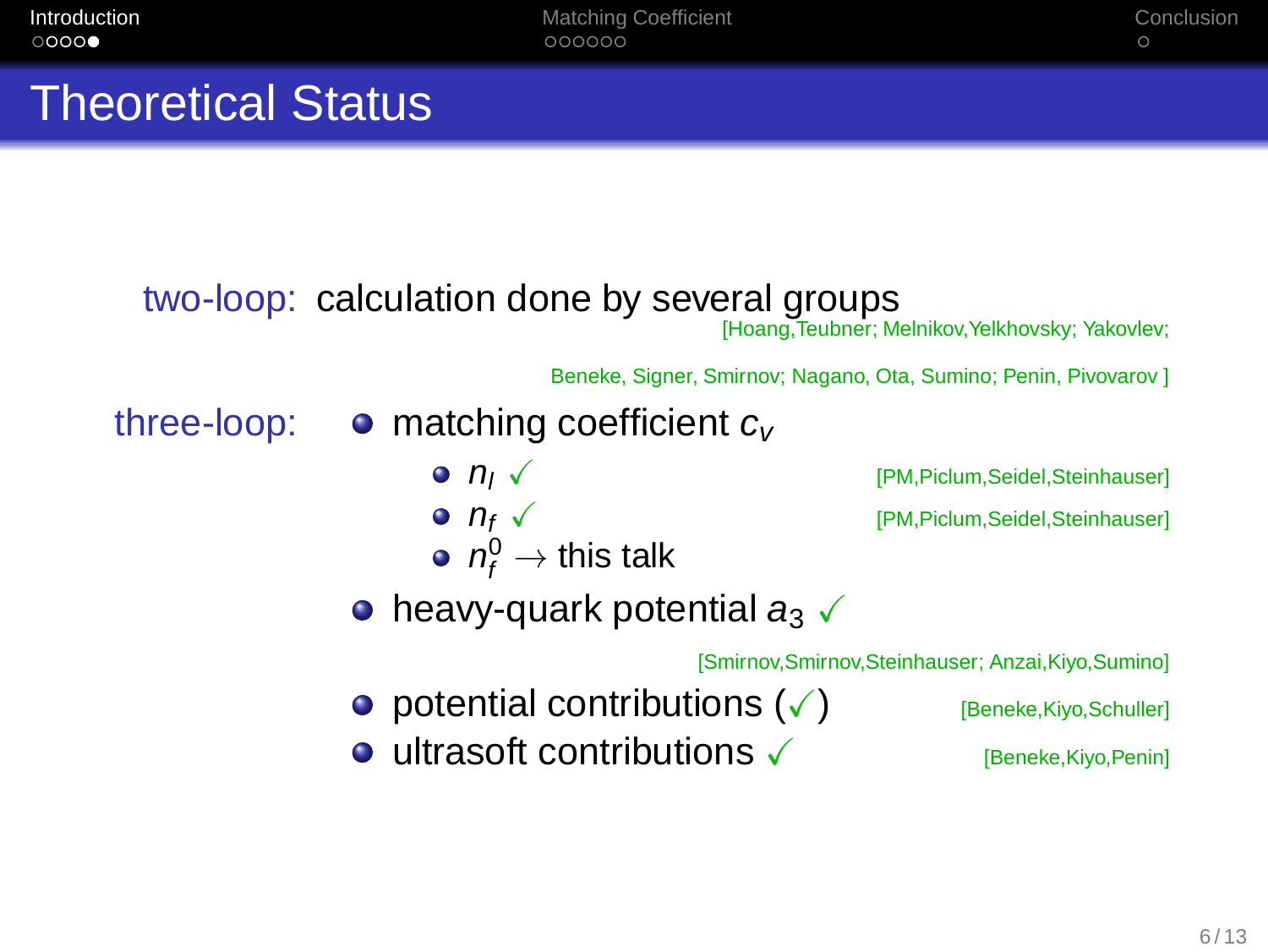| Introduction<br>0000 | <b>Matching Coefficient</b><br>000000 | Conclusion |
|----------------------|---------------------------------------|------------|
|                      |                                       |            |

# Theoretical Status

### two-loop: calculation done by several groups

[Hoang,Teubner; Melnikov,Yelkhovsky; Yakovlev;

Beneke, Signer, Smirnov; Nagano, Ota, Sumino; Penin, Pivovarov ]

three-loop:  $\bullet$  matching coefficient  $c_v$ 

- $\bullet$   $n_l$   $\checkmark$
- $\mathsf{D}$   $\mathsf{D}$   $\mathsf{D}$   $\mathsf{D}$   $\mathsf{D}$   $\mathsf{D}$   $\mathsf{D}$   $\mathsf{D}$   $\mathsf{D}$   $\mathsf{D}$   $\mathsf{D}$   $\mathsf{D}$   $\mathsf{D}$   $\mathsf{D}$   $\mathsf{D}$   $\mathsf{D}$   $\mathsf{D}$   $\mathsf{D}$   $\mathsf{D}$   $\mathsf{D}$   $\mathsf{D}$   $\mathsf{D}$   $\mathsf{D}$   $\mathsf{D}$   $\mathsf{$
- $\eta_f^0 \rightarrow$  this talk
- heavy-quark potential  $a_3 \checkmark$

[Smirnov,Smirnov,Steinhauser; Anzai,Kiyo,Sumino]

- potential contributions  $(\sqrt{)}$  [Beneke, Kiyo, Schuller]
	-
- $\bullet$  ultrasoft contributions  $\checkmark$  [Beneke, Kiyo, Penin]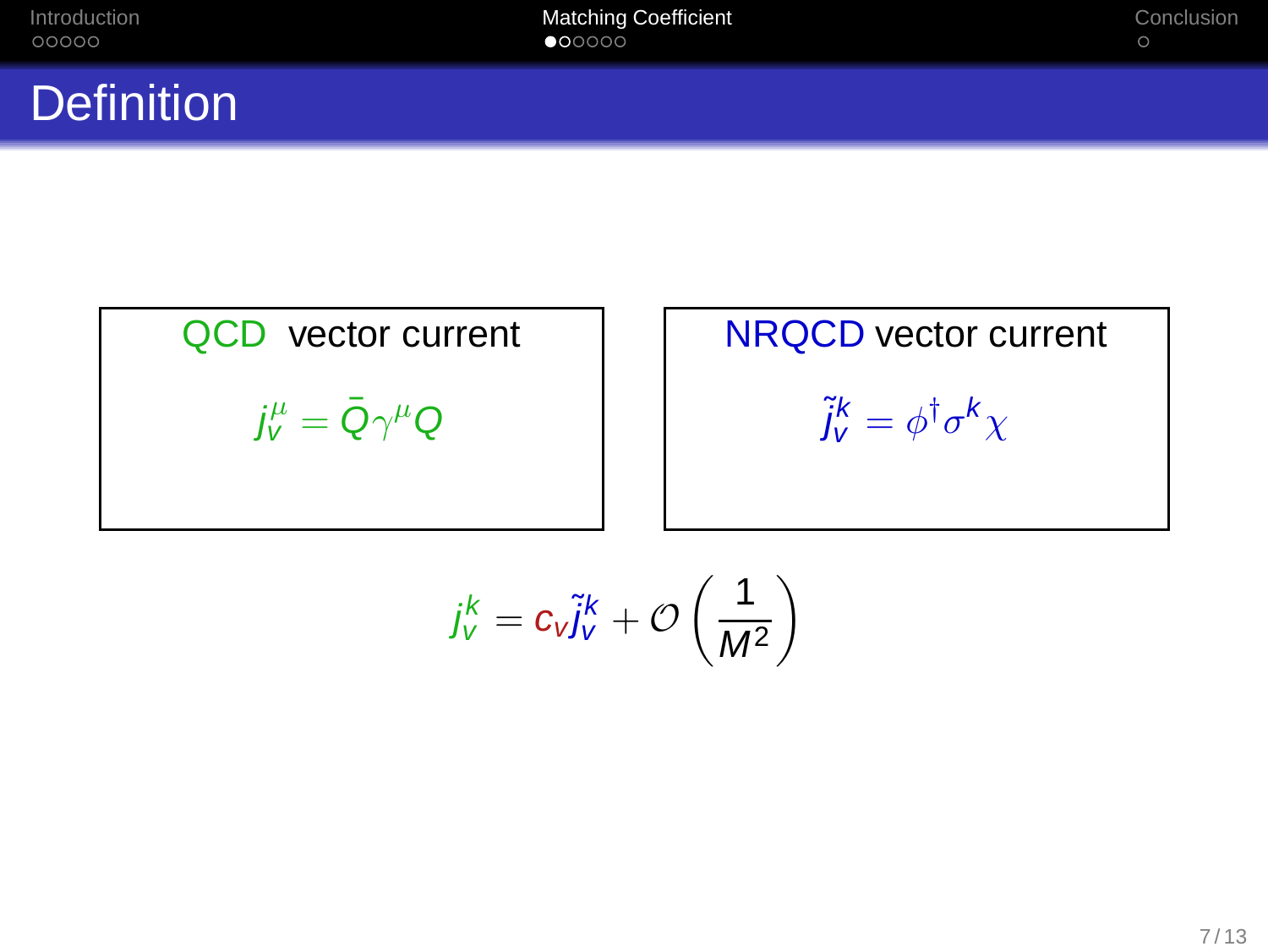| Introduction<br>00000 | <b>Matching Coefficient</b><br>$\bullet$ 00000 | Conclusion |
|-----------------------|------------------------------------------------|------------|
| <b>Definition</b>     |                                                |            |

QCD vector current  

$$
j^{\mu}_{\nu} = \bar{Q}\gamma^{\mu}Q
$$

# NRQCD vector current

<span id="page-11-0"></span>
$$
\tilde{j}^k_{v} = \phi^{\dagger} \sigma^k \chi
$$

$$
j_v^k = c_v \tilde{j}_v^k + \mathcal{O}\left(\frac{1}{M^2}\right)
$$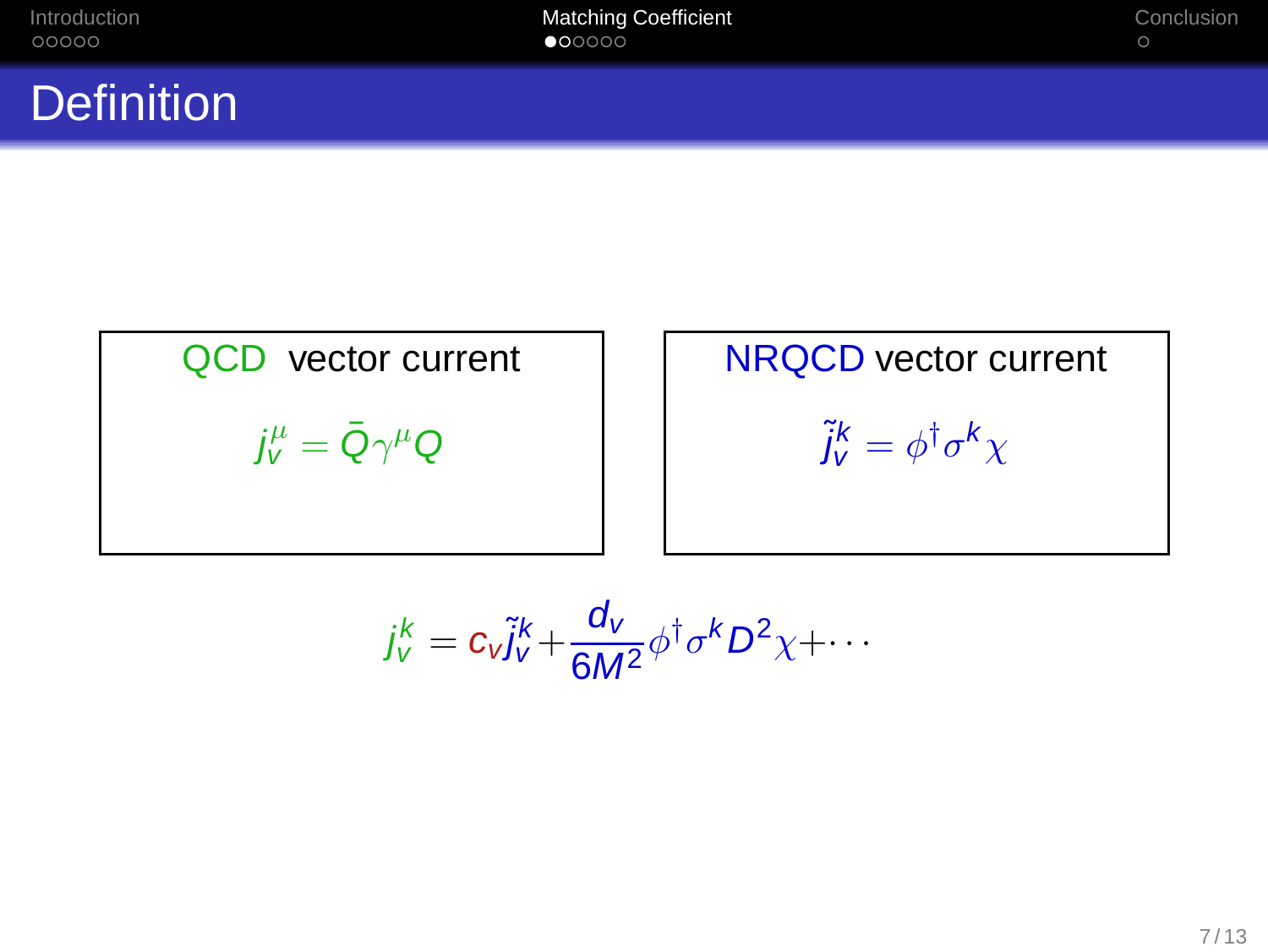| Introduction<br>00000                       | <b>Matching Coefficient</b><br>$\bullet$ 00000 | Conclusion |
|---------------------------------------------|------------------------------------------------|------------|
| $\sim$<br><b>Contract Contract Contract</b> |                                                |            |

#### **Definition**

QCD vector current

 $j^{\mu}_{\rm v} = \bar{\mathsf{Q}} \gamma^{\mu} \mathsf{Q}$ 

NRQCD vector current

$$
\tilde{j}^k_{v} = \phi^{\dagger} \sigma^k \chi
$$

$$
j_V^k = c_v \tilde{j}_V^k + \frac{d_V}{6M^2} \phi^{\dagger} \sigma^k D^2 \chi + \cdots
$$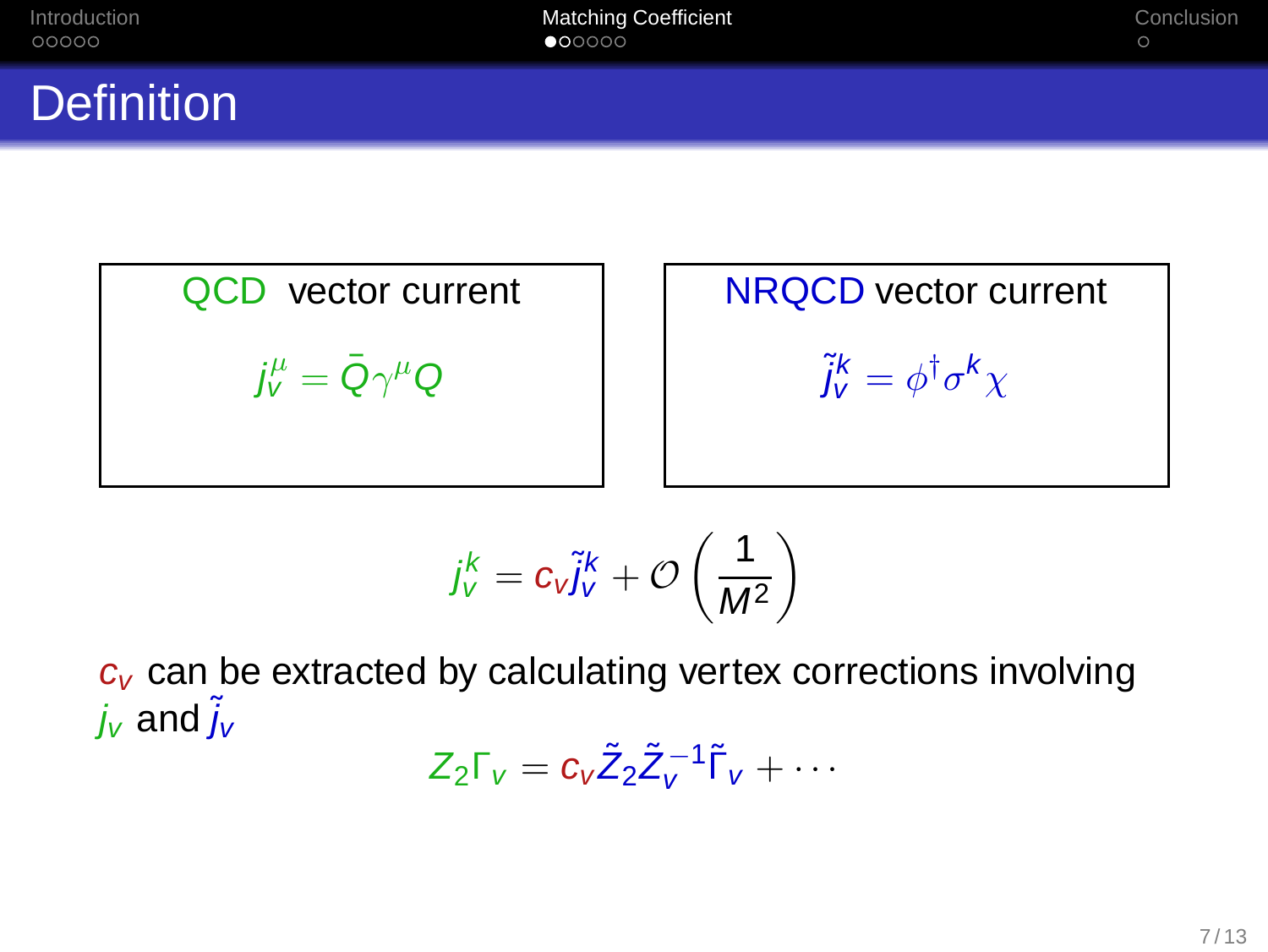| Introduction<br>00000 | <b>Matching Coefficient</b><br>000000 | Conclusion |
|-----------------------|---------------------------------------|------------|
| <b>Definition</b>     |                                       |            |

QCD vector current  $j^{\mu}_{\rm v} = \bar{\mathsf{Q}} \gamma^{\mu} \mathsf{Q}$ 

NRQCD vector current  $\tilde{j}^k_{\mathsf{v}} = \phi^\dagger \sigma^k \chi$ 

$$
j^k_{\mathsf{v}} = c_{\mathsf{v}} \tilde{j}^k_{\mathsf{v}} + \mathcal{O}\left(\frac{1}{M^2}\right)
$$

 $c<sub>V</sub>$  can be extracted by calculating vertex corrections involving  $i_{\nu}$  and  $\tilde{i}_{\nu}$ 

$$
Z_2\Gamma_v=c_v\tilde{Z}_2\tilde{Z}_v^{-1}\tilde{\Gamma}_v+\cdots
$$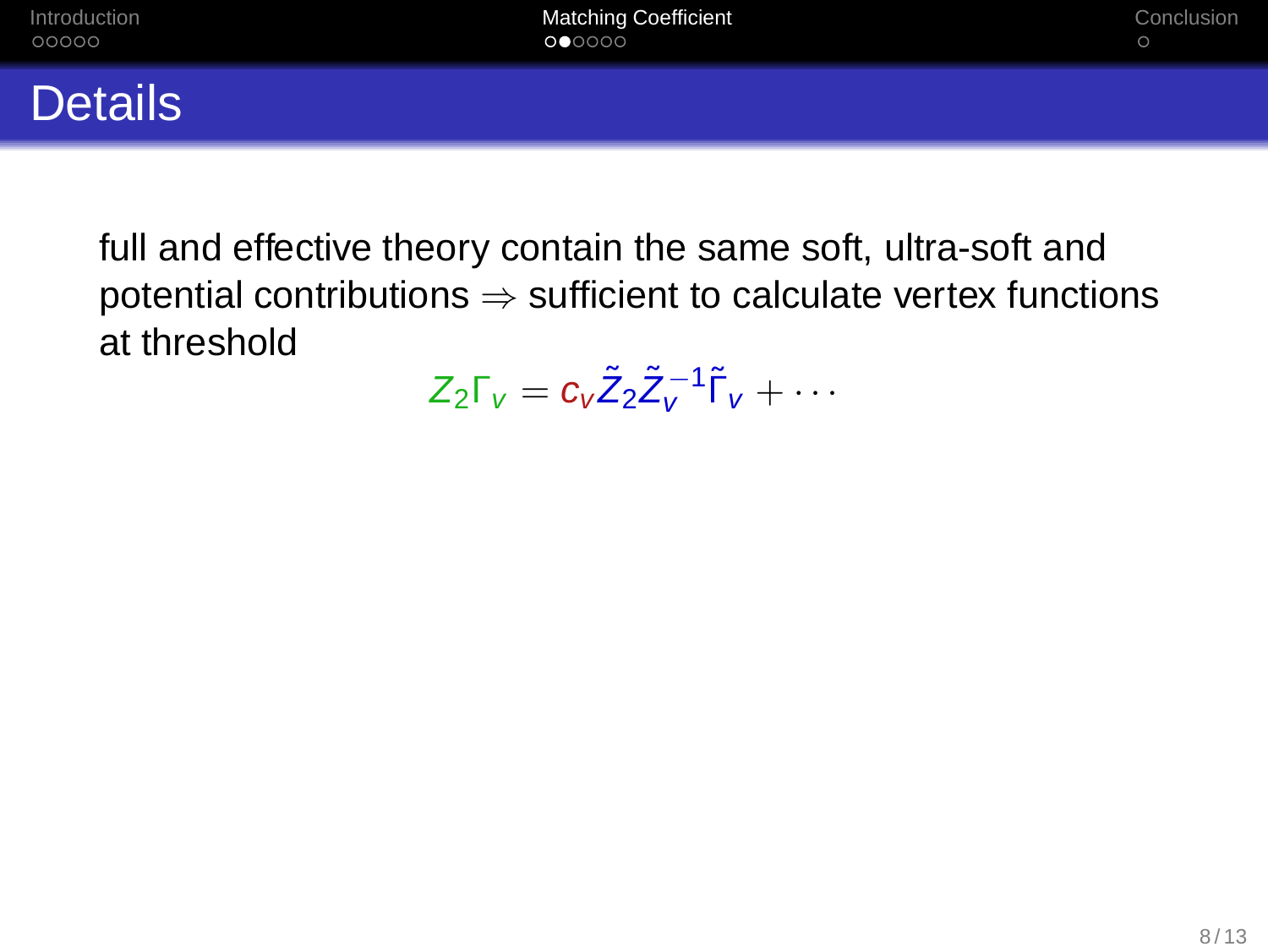| Introduction   | <b>Matching Coefficient</b> | Conclusion |
|----------------|-----------------------------|------------|
| 00000          | 000000                      | $\circ$    |
| <b>Details</b> |                             |            |

$$
Z_2\Gamma_v=c_v\tilde{Z}_2\tilde{Z}_v^{-1}\tilde{\Gamma}_v+\cdots
$$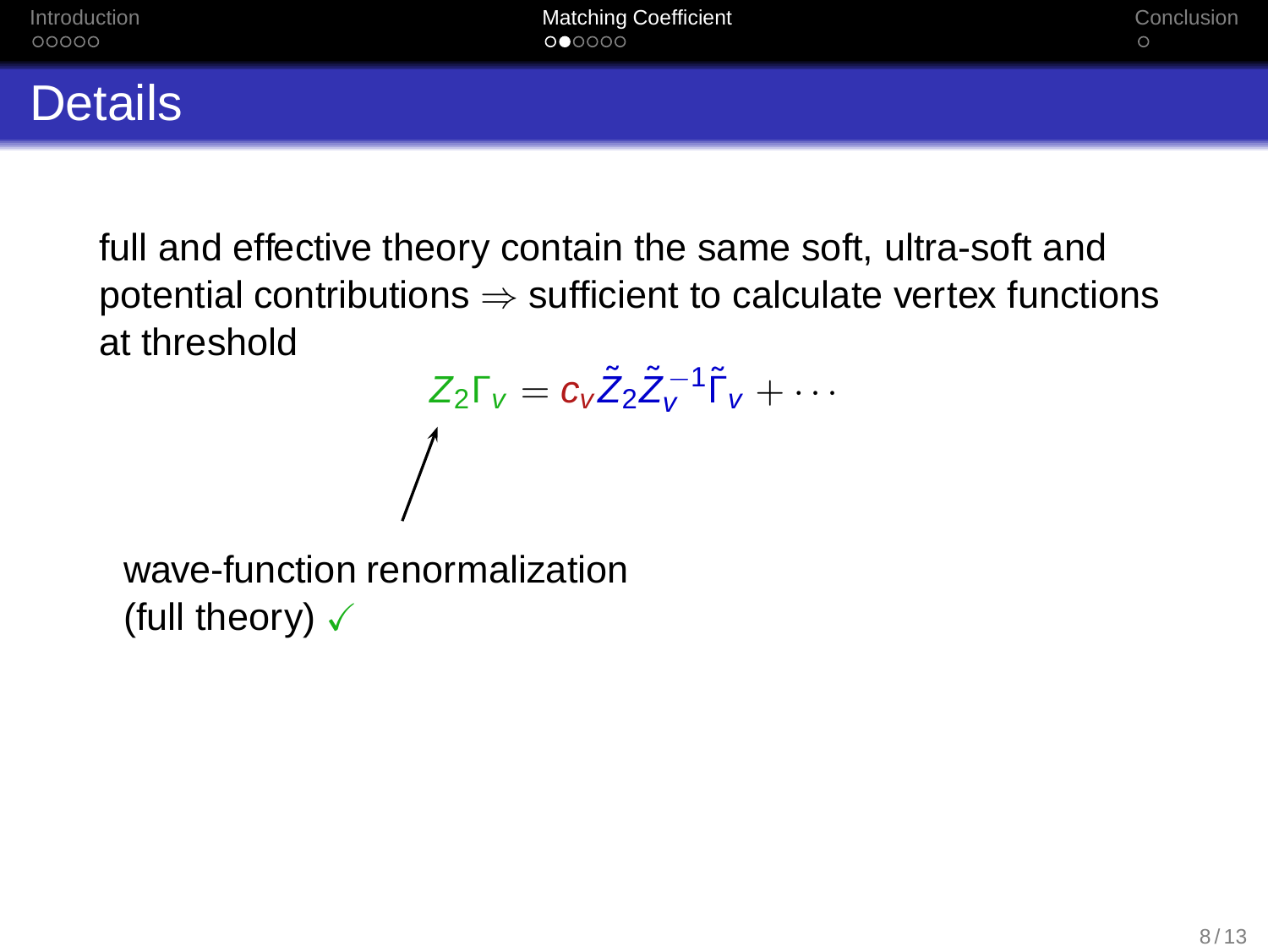| Introduction<br>00000 | <b>Matching Coefficient</b><br>000000 | Conclusion |
|-----------------------|---------------------------------------|------------|
| <b>Details</b>        |                                       |            |

$$
Z_2\Gamma_v = c_v \tilde{Z}_2 \tilde{Z}_v^{-1} \tilde{\Gamma}_v + \cdots
$$

wave-function renormalization (full theory)  $\checkmark$ 

I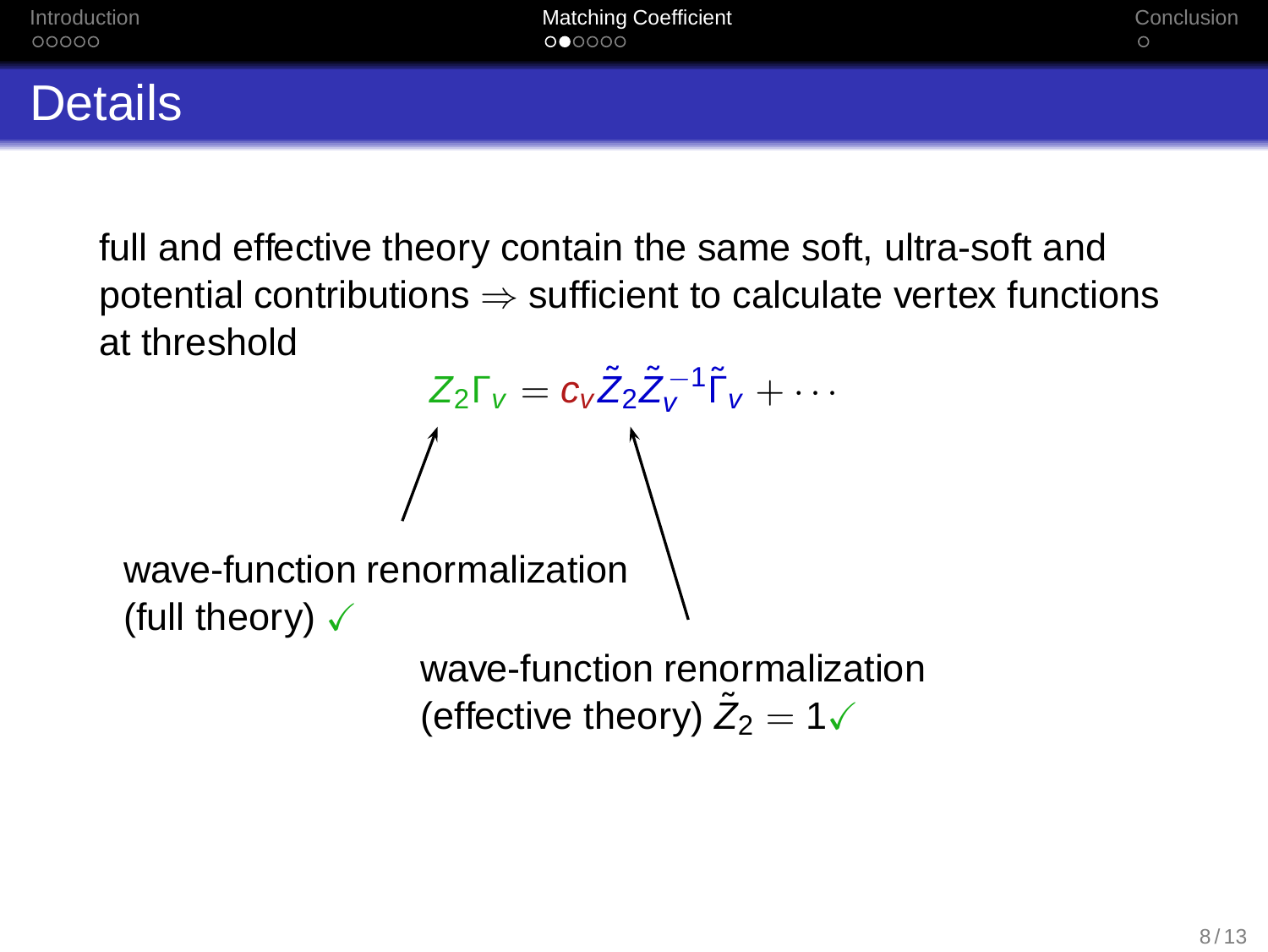| Introduction<br>00000 | <b>Matching Coefficient</b><br>000000 | Conclusion |
|-----------------------|---------------------------------------|------------|
| <b>Details</b>        |                                       |            |

```
Z_2\Gamma_v=c_v\tilde{Z}_2\tilde{Z}_v^{-1}\tilde{\Gamma}_v+\cdotswave-function renormalization
(full theory) \checkmarkwave-function renormalization
                           (effective theory) \tilde{Z}_2 = 1 \checkmark
```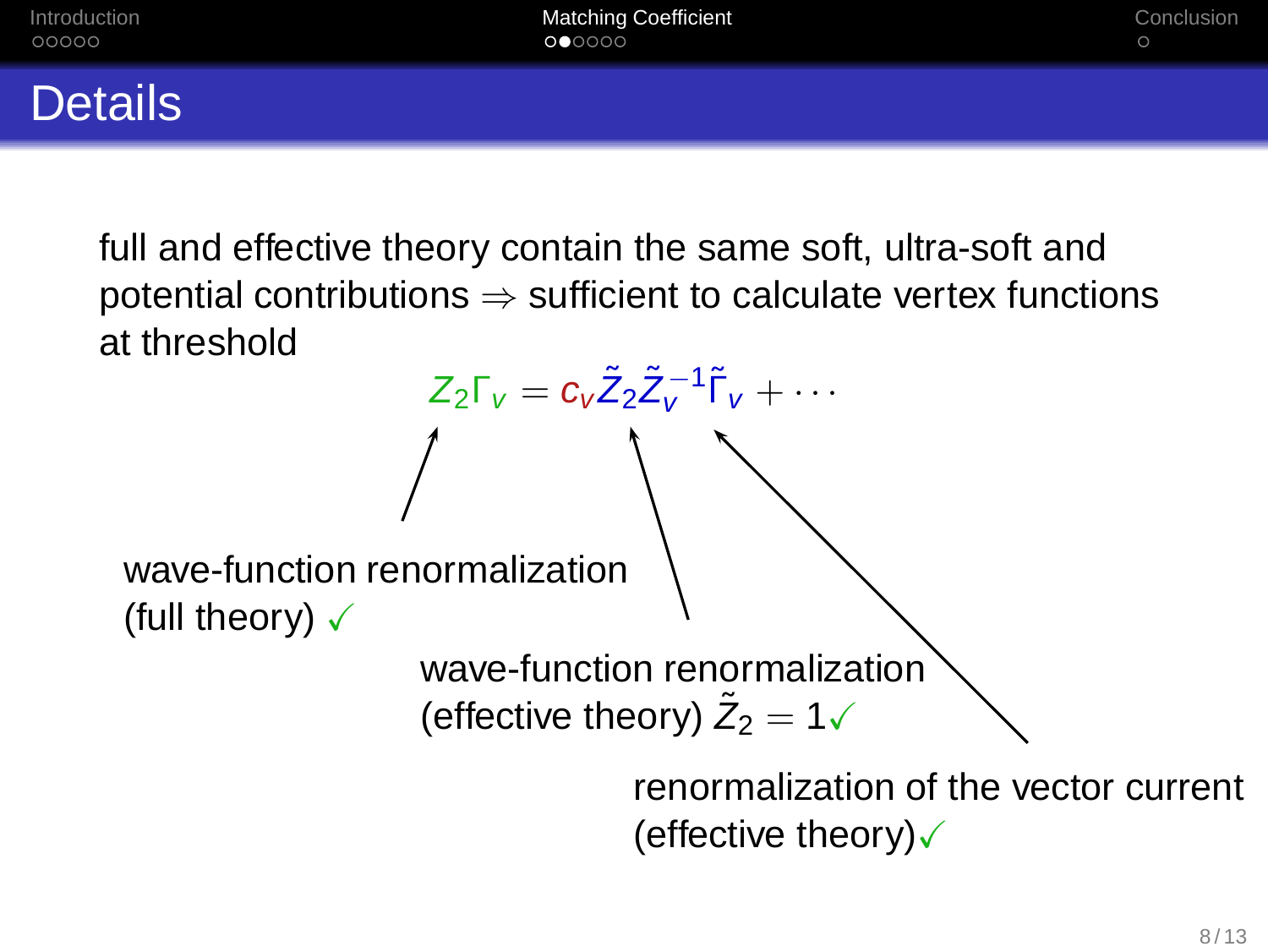| Introduction<br>00000 | <b>Matching Coefficient</b><br>000000 | Conclusion |
|-----------------------|---------------------------------------|------------|
| <b>Details</b>        |                                       |            |

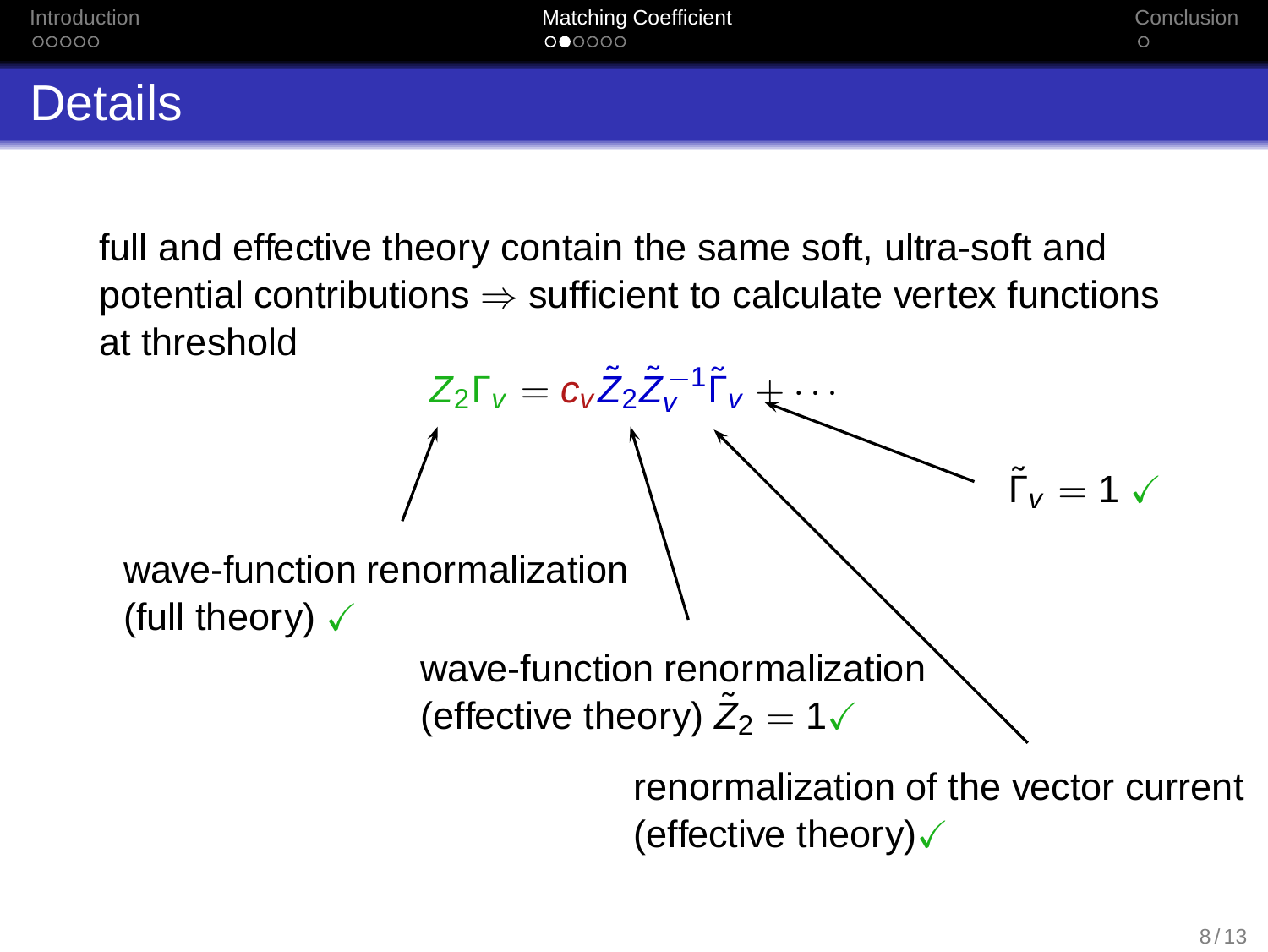| Introduction   | <b>Matching Coefficient</b> | Conclusion |
|----------------|-----------------------------|------------|
| 00000          | 000000                      | $\circ$    |
| <b>Details</b> |                             |            |

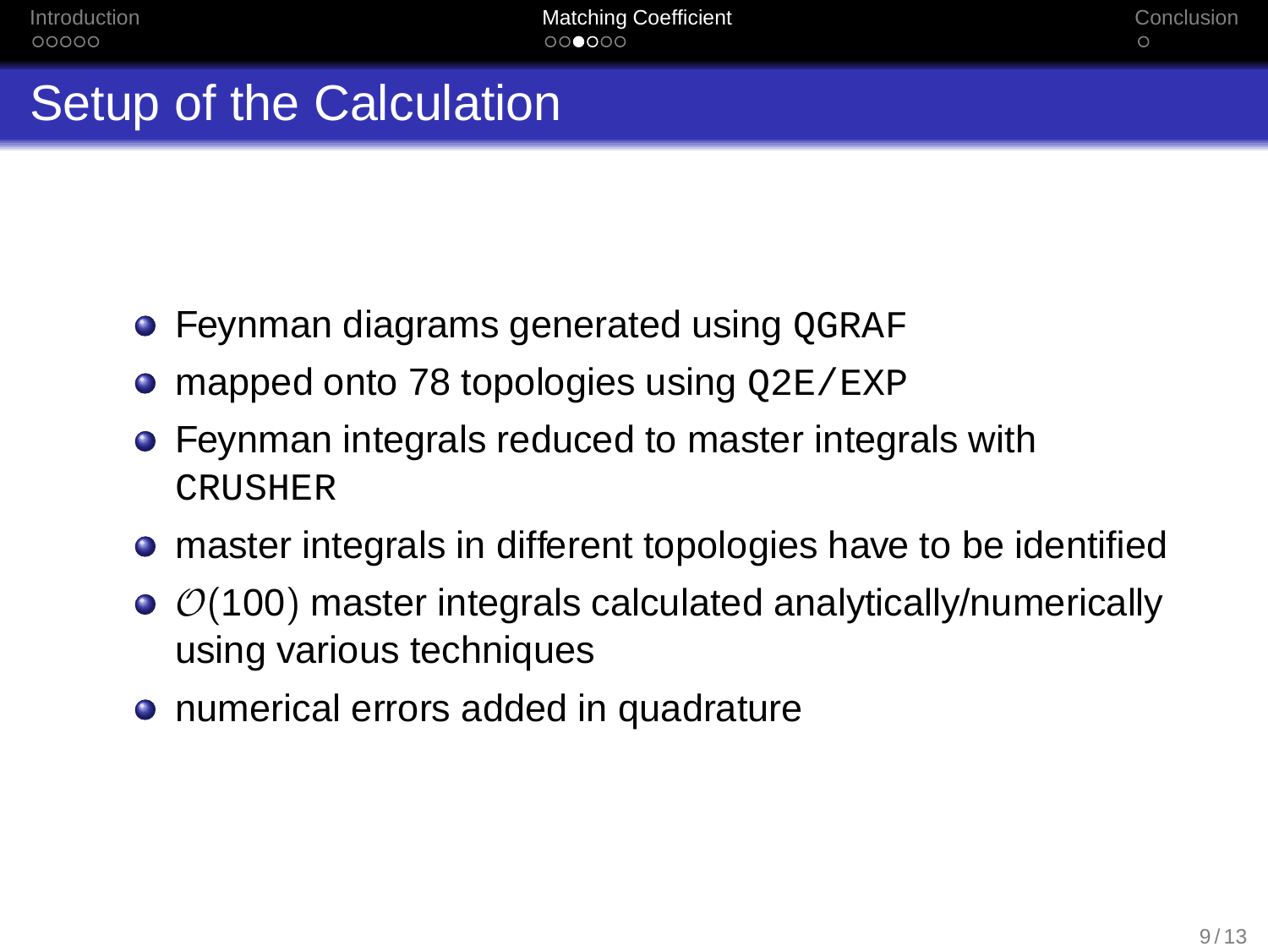# Setup of the Calculation

- **Feynman diagrams generated using OGRAF**
- mapped onto 78 topologies using  $Q2E/EXP$
- Feynman integrals reduced to master integrals with **CRUSHER**
- master integrals in different topologies have to be identified
- $\circ$   $\mathcal{O}(100)$  master integrals calculated analytically/numerically using various techniques
- numerical errors added in quadrature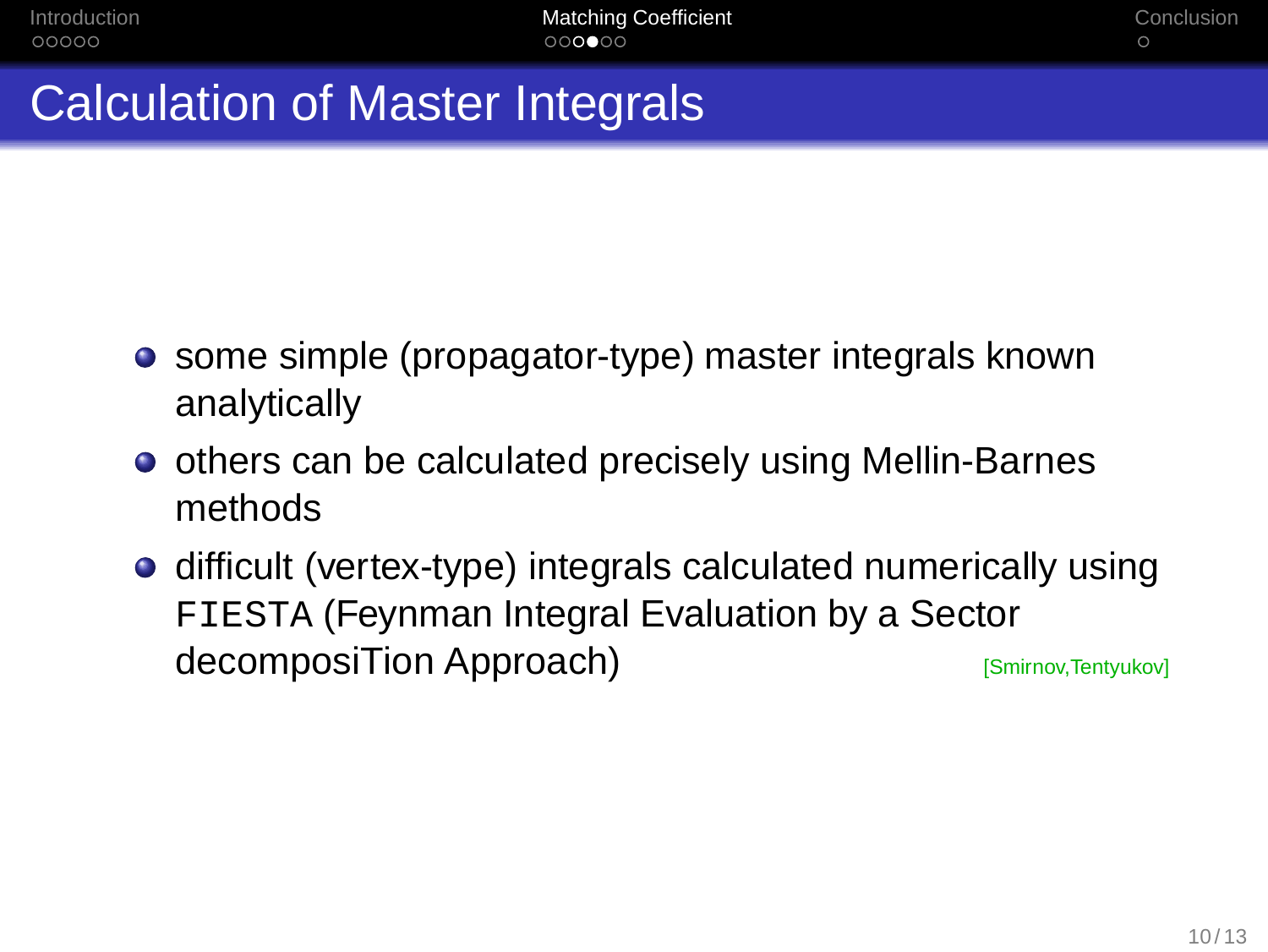# Calculation of Master Integrals

- some simple (propagator-type) master integrals known analytically
- others can be calculated precisely using Mellin-Barnes methods
- **•** difficult (vertex-type) integrals calculated numerically using FIESTA (Feynman Integral Evaluation by a Sector decomposiTion Approach) [Smirnov,Tentyukov]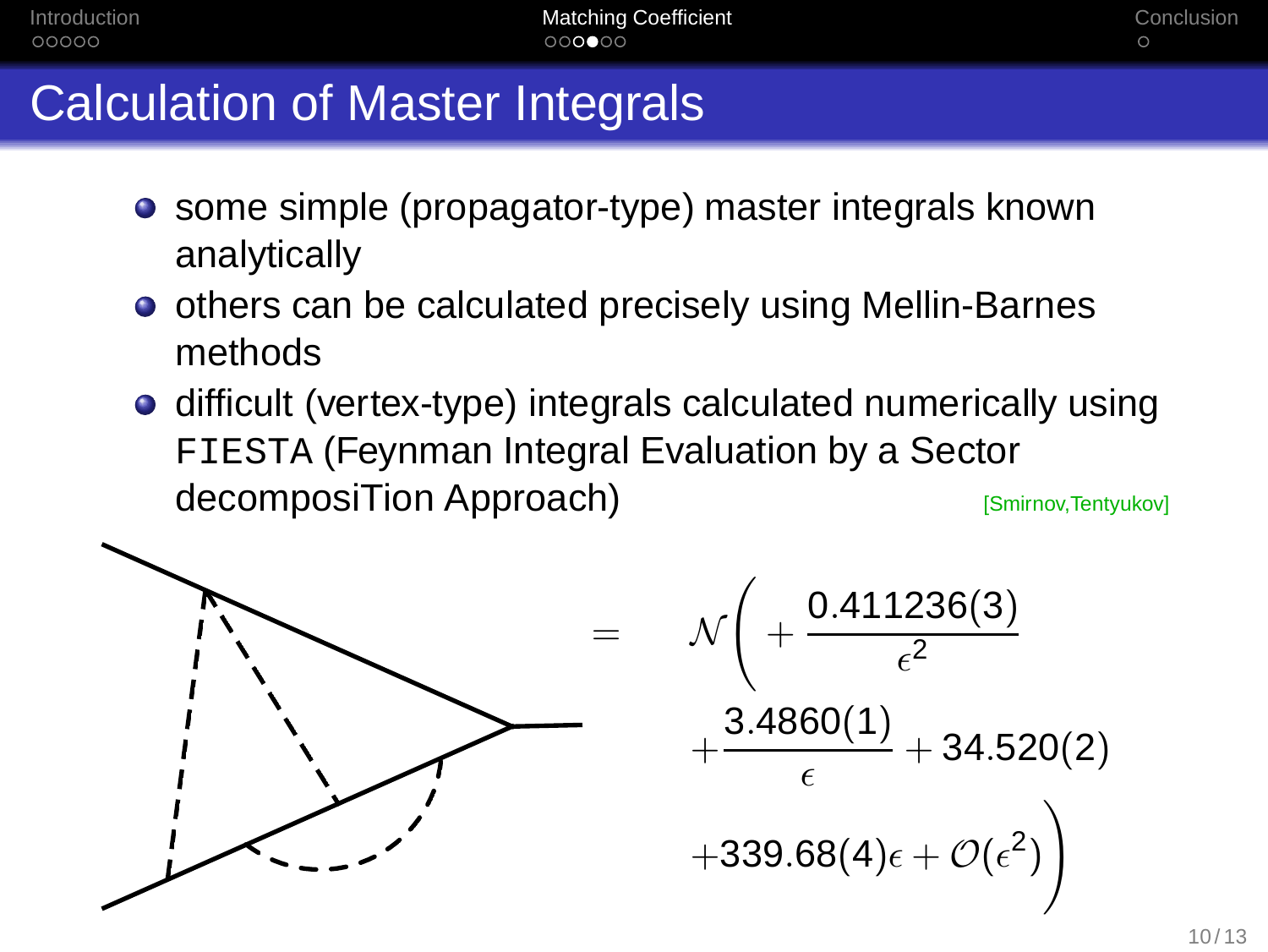| Introduction | <b>Matching Coefficient</b> | Conclusion |
|--------------|-----------------------------|------------|
| 00000        | 000000                      |            |

# Calculation of Master Integrals

- some simple (propagator-type) master integrals known analytically
- others can be calculated precisely using Mellin-Barnes methods
- **•** difficult (vertex-type) integrals calculated numerically using FIESTA (Feynman Integral Evaluation by a Sector decomposiTion Approach) [Smirnov,Tentyukov]

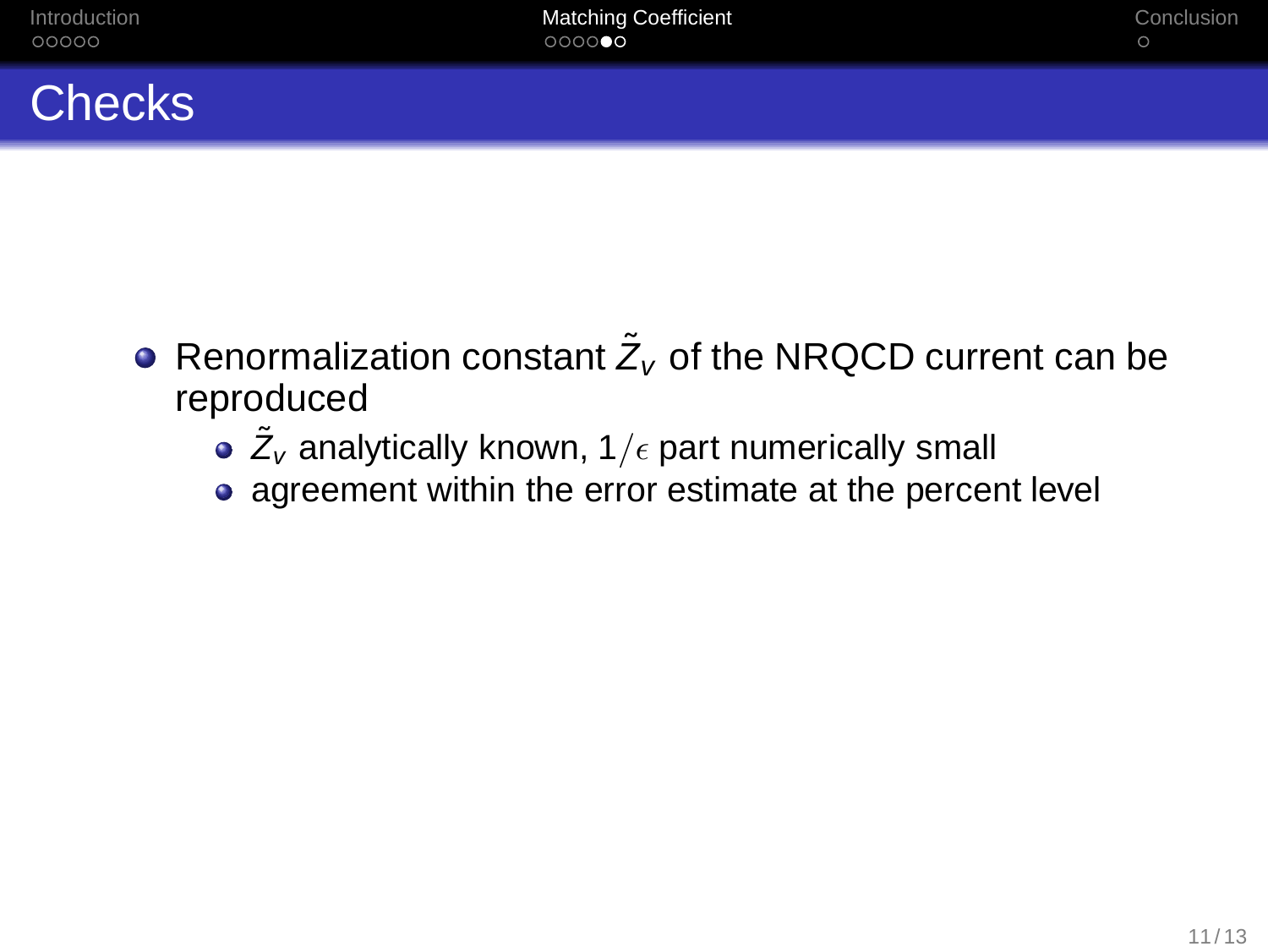| Introduction<br>00000 | <b>Matching Coefficient</b><br>000000 | Conclusion |
|-----------------------|---------------------------------------|------------|
| <b>Checks</b>         |                                       |            |

- Renormalization constant  $\tilde{Z}_V$  of the NRQCD current can be reproduced
	- $\tilde Z_{\mathsf v}$  analytically known, 1/ $\epsilon$  part numerically small
	- agreement within the error estimate at the percent level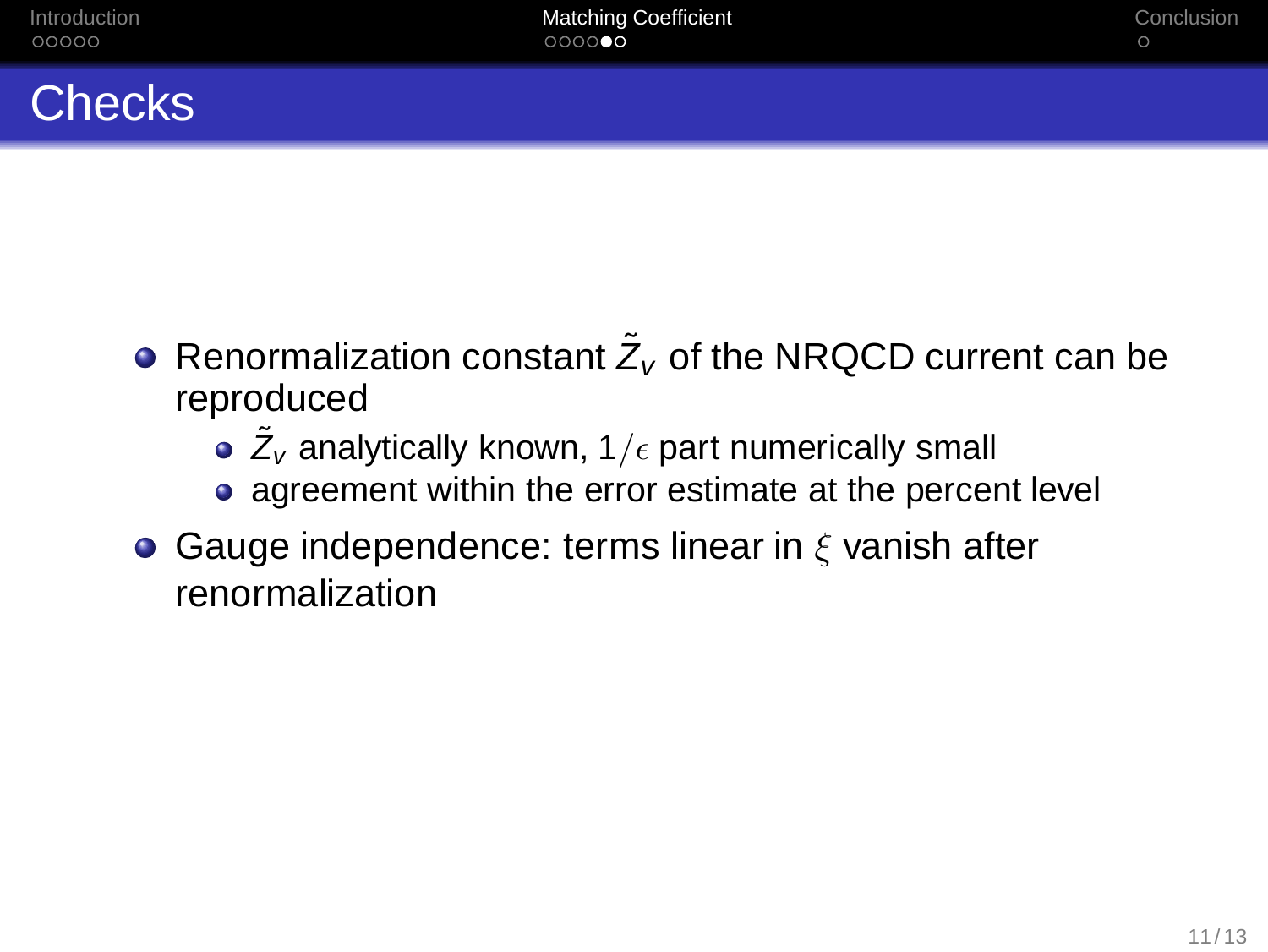# **Checks**

- Renormalization constant  $\tilde{Z}_V$  of the NRQCD current can be reproduced
	- $\tilde Z_{\mathsf v}$  analytically known, 1/ $\epsilon$  part numerically small
	- agreement within the error estimate at the percent level
- Gauge independence: terms linear in  $\xi$  vanish after renormalization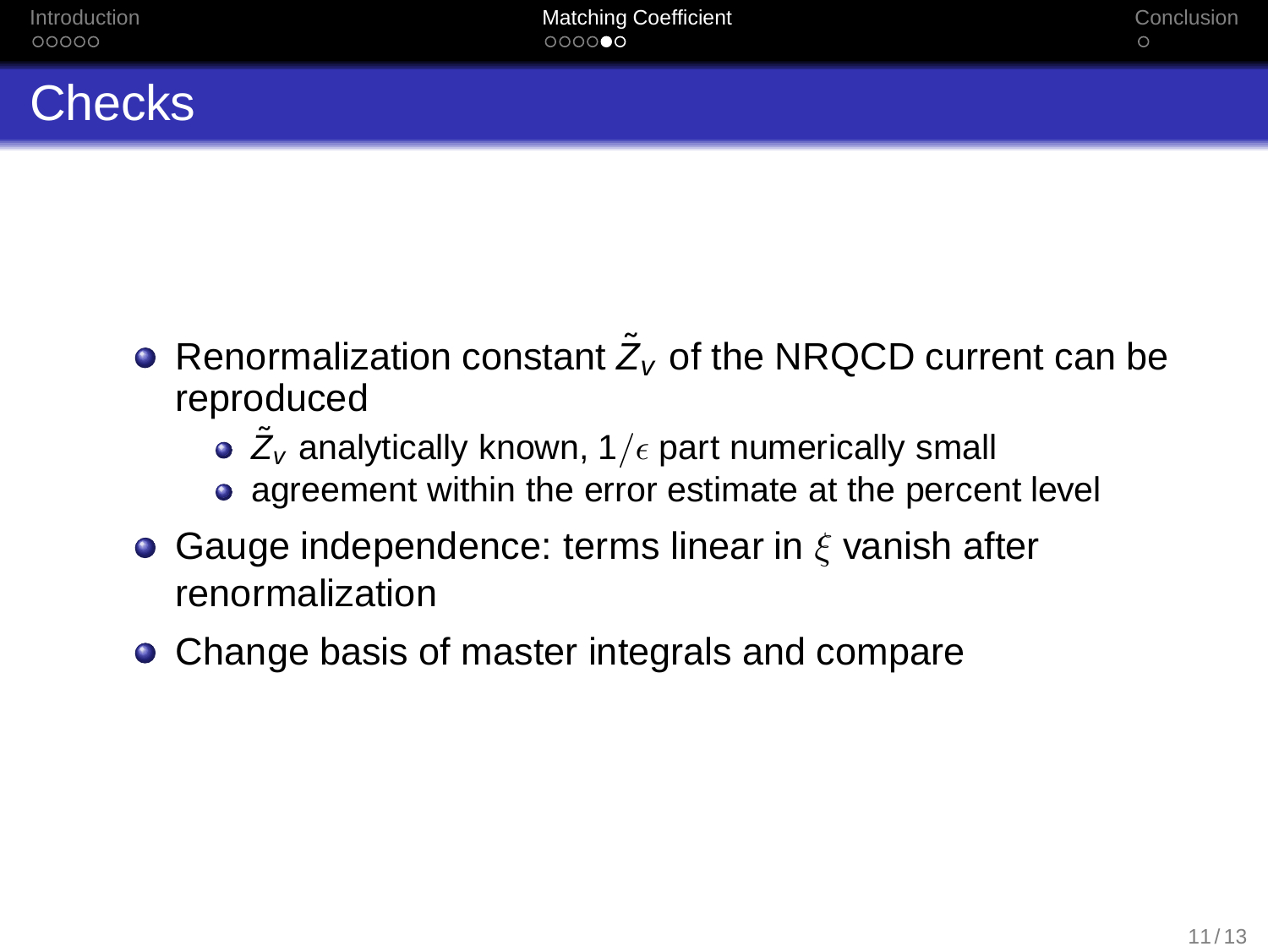# **Checks**

- Renormalization constant  $\tilde{Z}_V$  of the NRQCD current can be reproduced
	- $\tilde Z_{\mathsf v}$  analytically known, 1/ $\epsilon$  part numerically small
	- agreement within the error estimate at the percent level
- Gauge independence: terms linear in  $\xi$  vanish after renormalization
- Change basis of master integrals and compare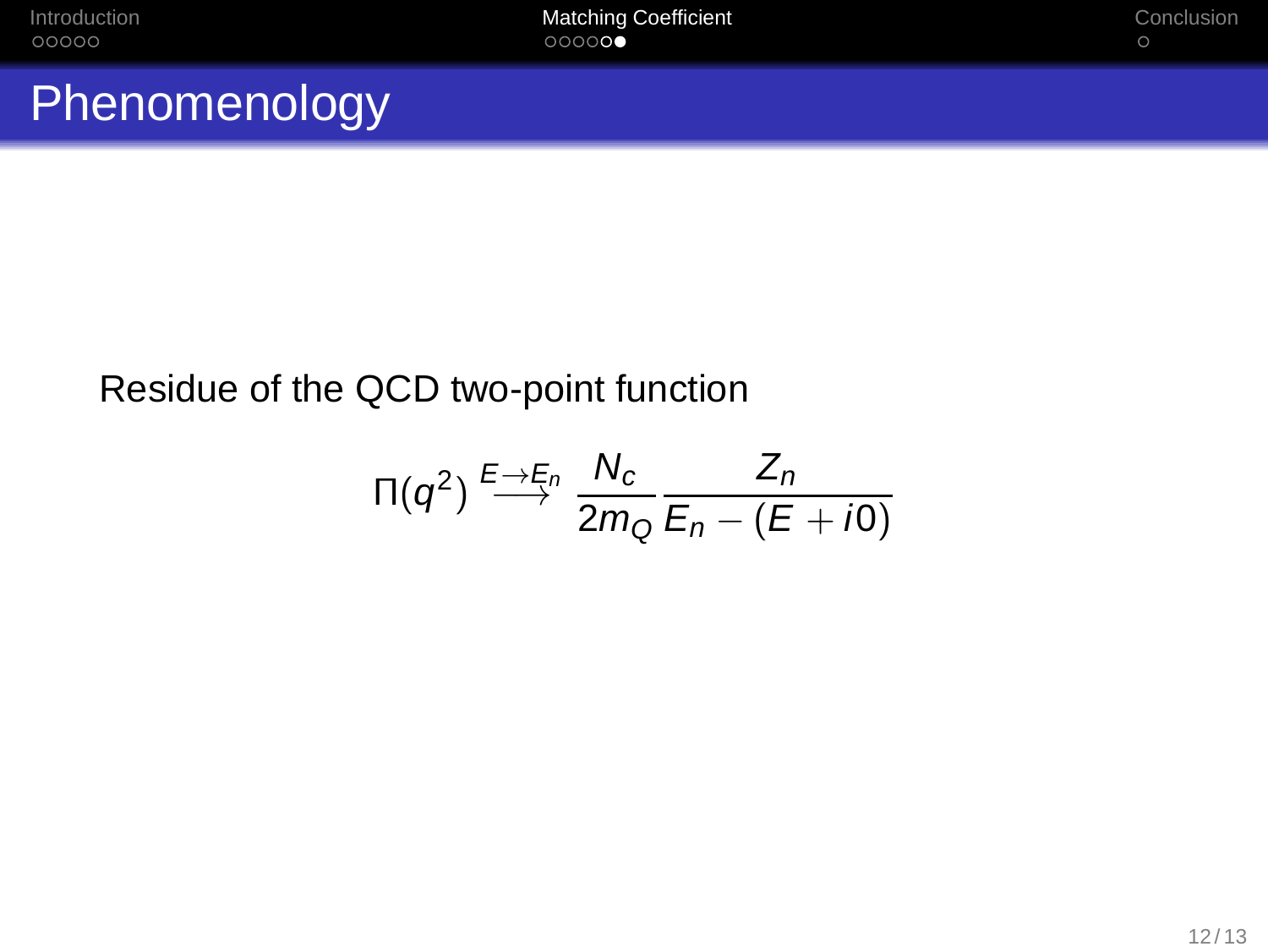| Introduction<br>00000 | <b>Matching Coefficient</b><br>00000 | Conclusion |
|-----------------------|--------------------------------------|------------|
| Phenomenology         |                                      |            |

$$
\Pi(q^2) \stackrel{E\rightarrow E_n}{\longrightarrow} \frac{N_c}{2m_Q} \frac{Z_n}{E_n - (E + i0)}
$$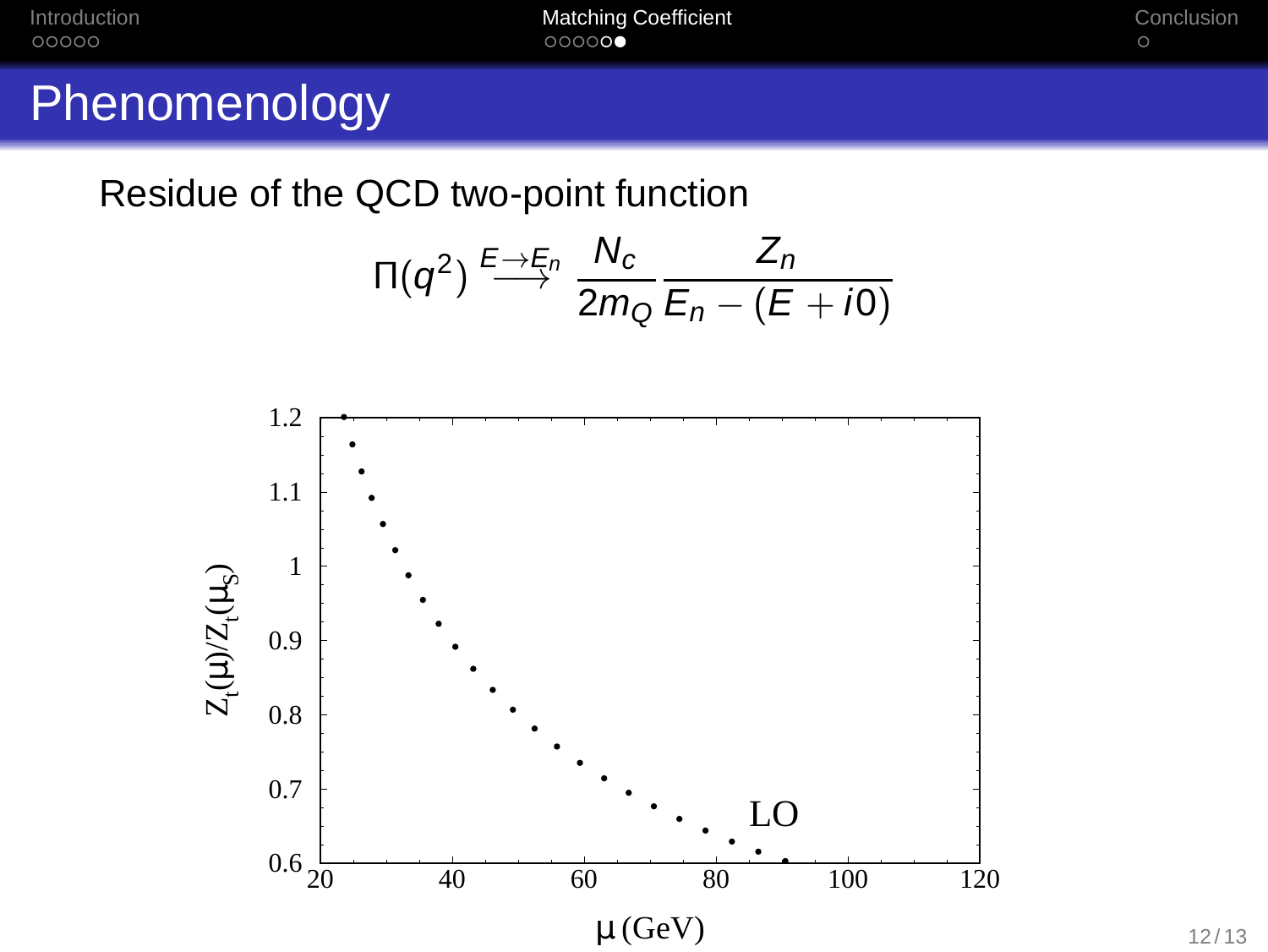| Introduction | <b>Matching Coefficient</b> | Conclusion |
|--------------|-----------------------------|------------|
| 00000        | 000000                      |            |
|              |                             |            |

$$
\Pi(q^2) \stackrel{E \to E_n}{\longrightarrow} \frac{N_c}{2m_Q} \frac{Z_n}{E_n - (E + i0)}
$$

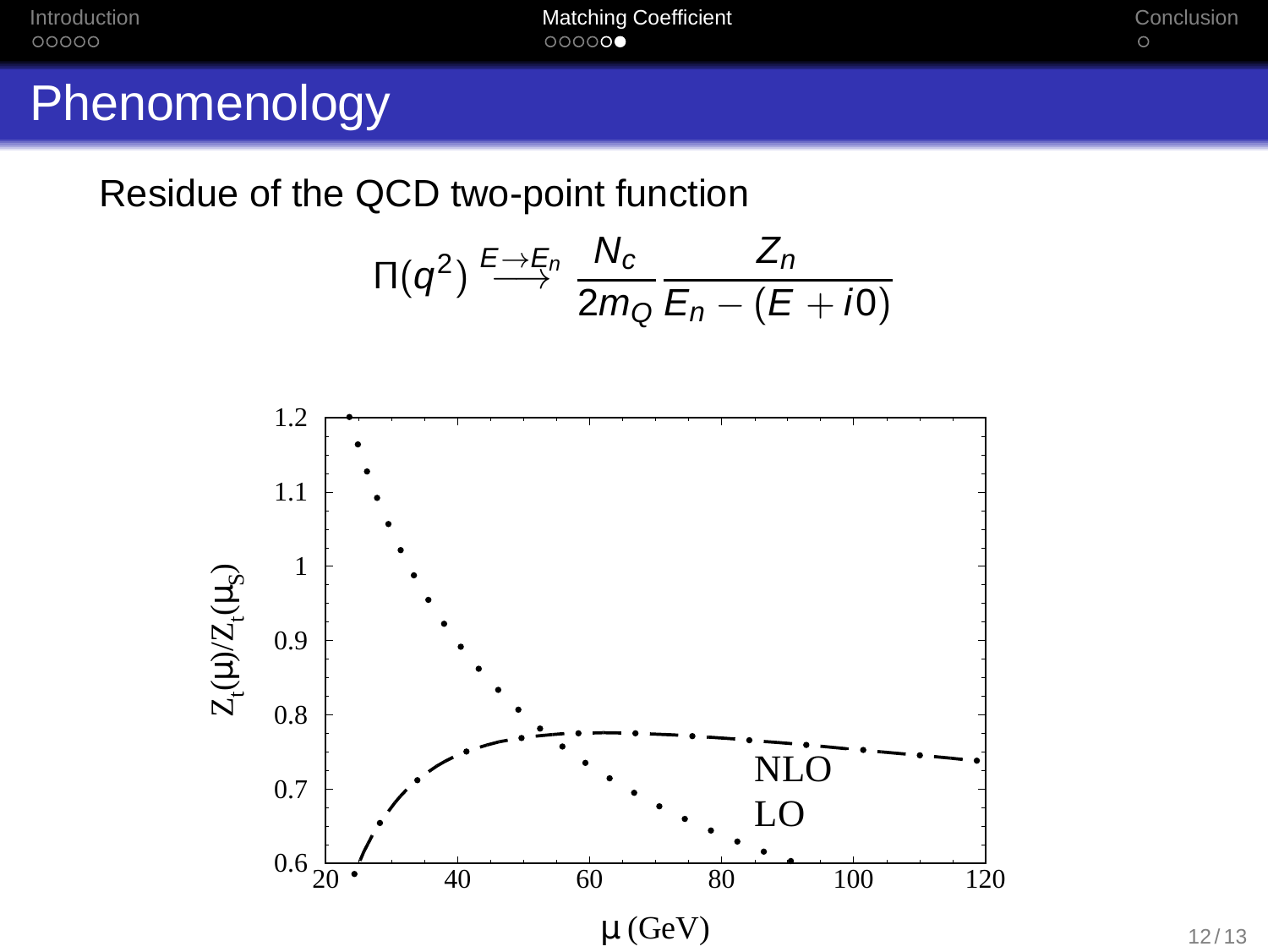| Introduction | <b>Matching Coefficient</b> | Conclusion |
|--------------|-----------------------------|------------|
| 00000        | 00000                       |            |
|              |                             |            |

$$
\Pi(q^2) \stackrel{E \to E_n}{\longrightarrow} \frac{N_c}{2m_Q} \frac{Z_n}{E_n - (E + i0)}
$$

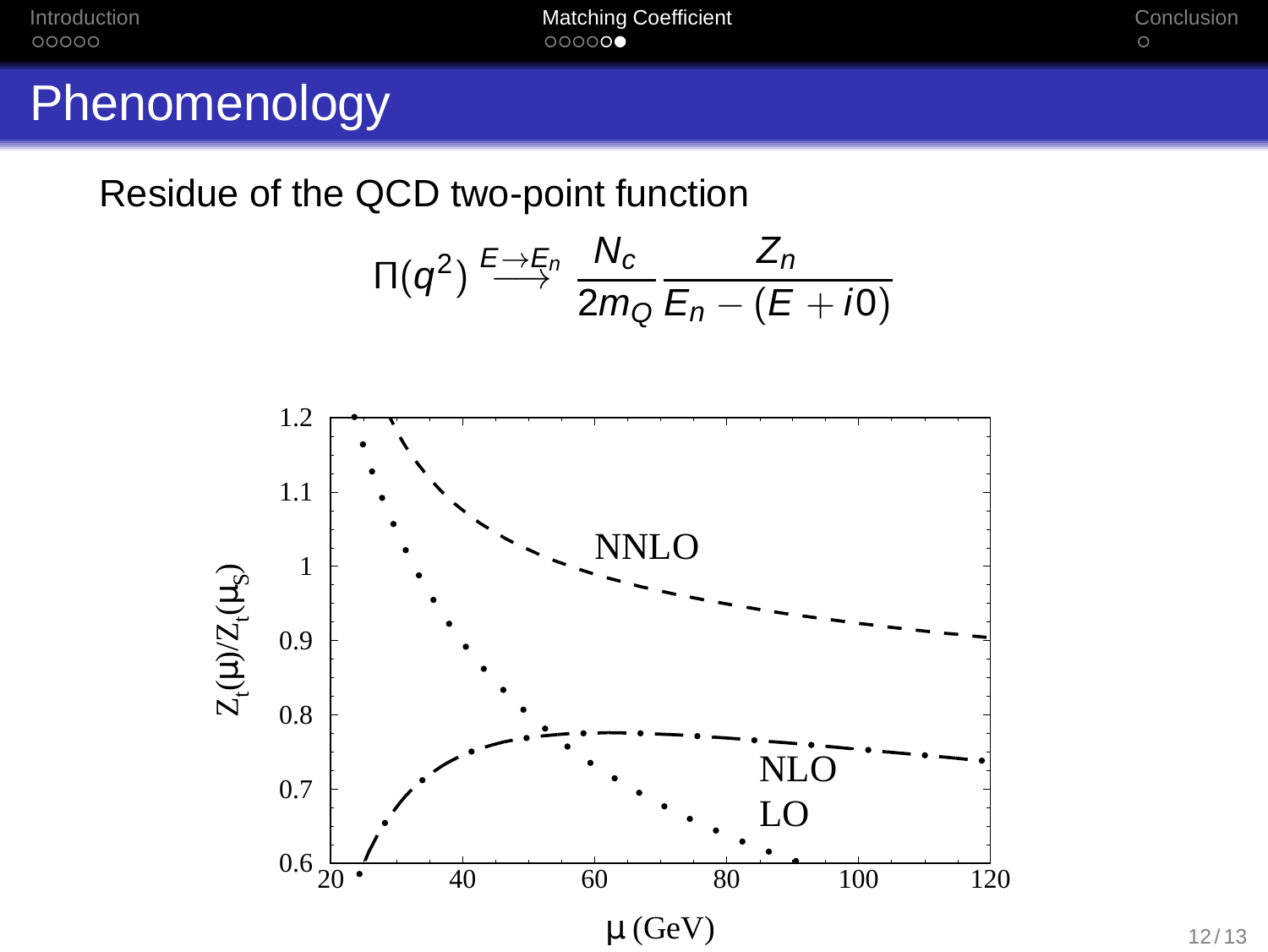| Introduction | <b>Matching Coefficient</b> | Conclusion |
|--------------|-----------------------------|------------|
| 00000        | 000000                      |            |

$$
\Pi(q^2) \stackrel{E \to E_n}{\longrightarrow} \frac{N_c}{2m_Q} \frac{Z_n}{E_n - (E + i0)}
$$

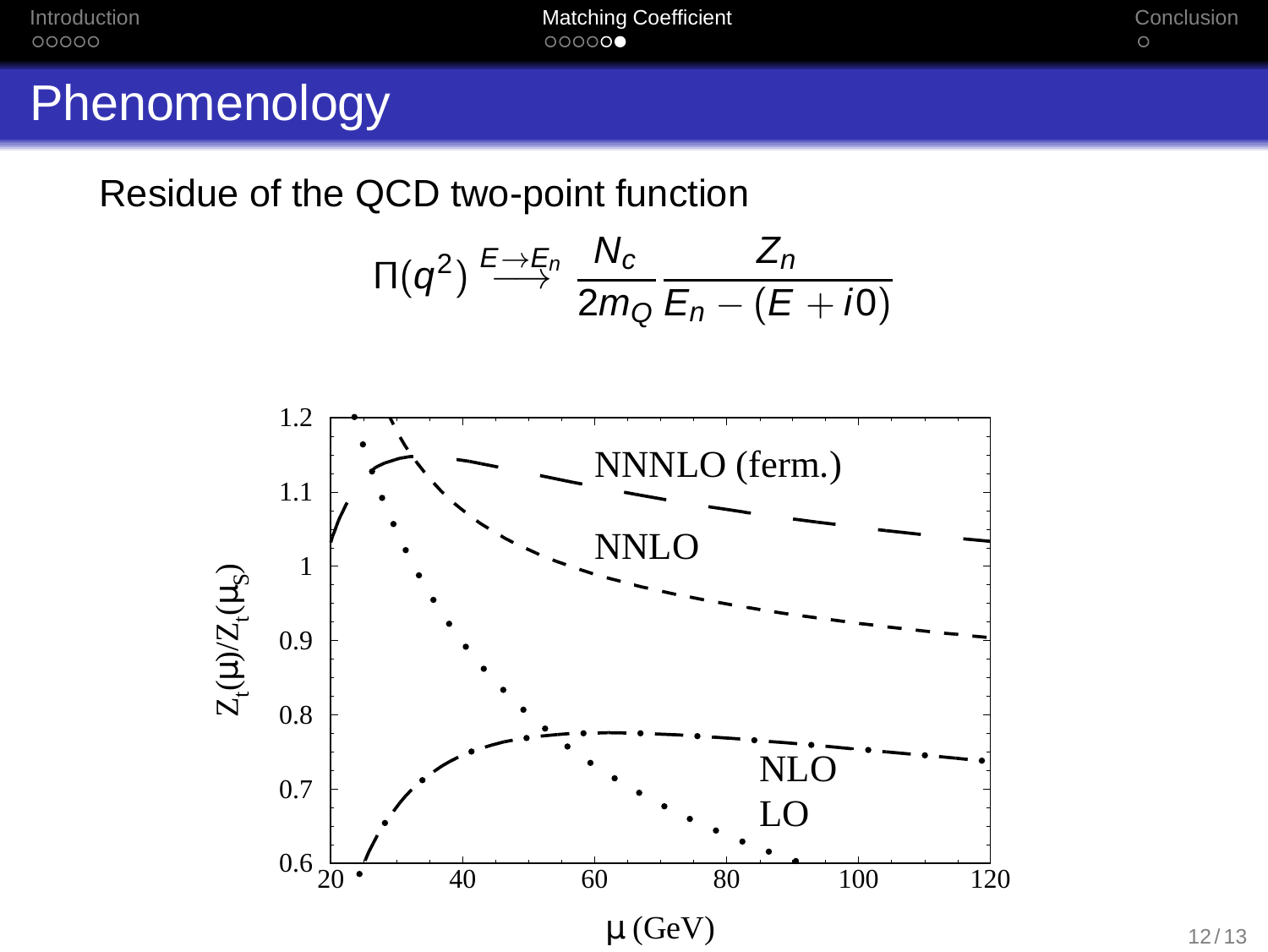| Introduction | <b>Matching Coefficient</b> | Conclusion |
|--------------|-----------------------------|------------|
| 00000        | 00000                       |            |

$$
\Pi(q^2) \stackrel{E \to E_n}{\longrightarrow} \frac{N_c}{2m_Q} \frac{Z_n}{E_n - (E + i0)}
$$

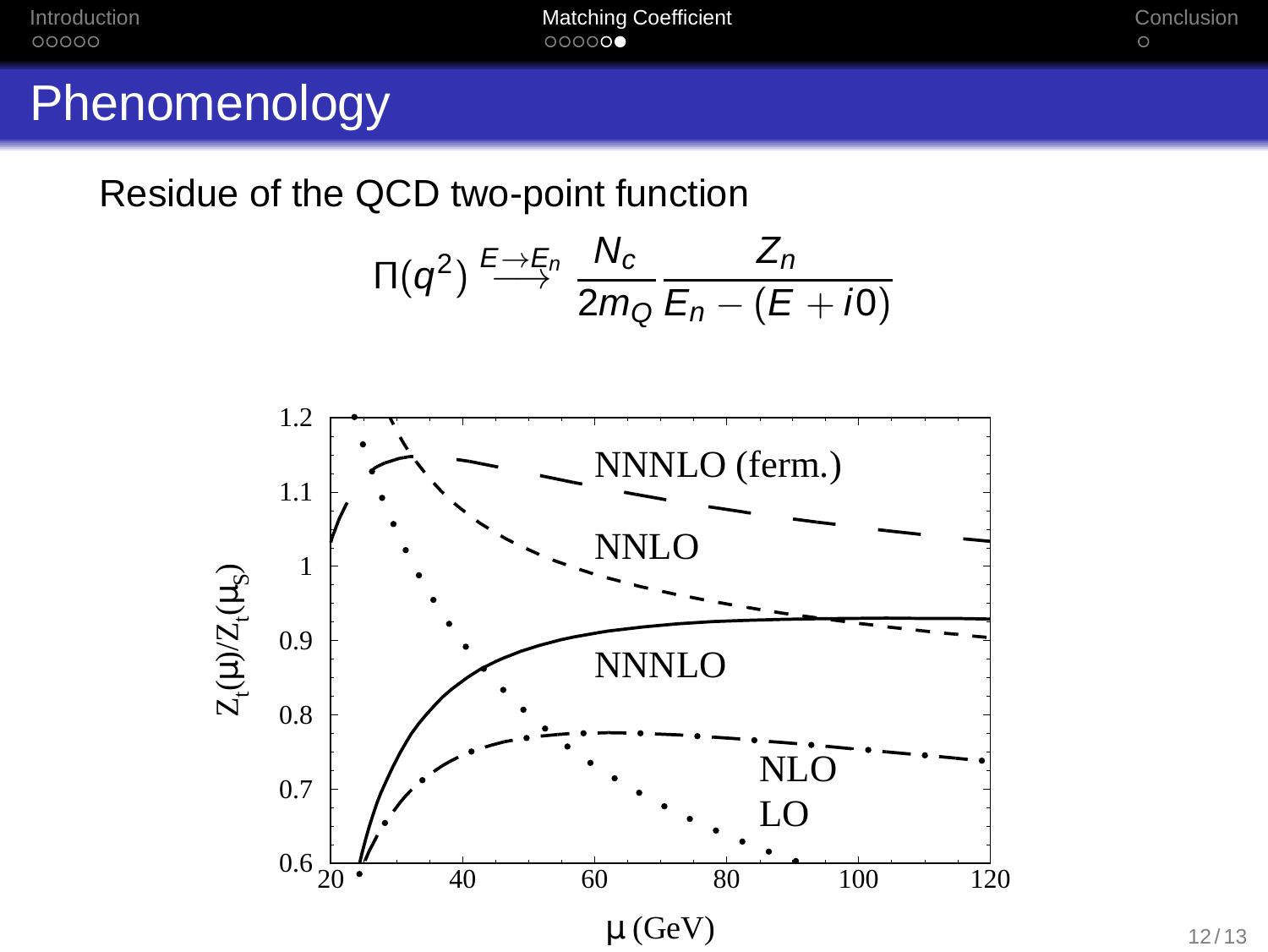| Introduction | <b>Matching Coefficient</b> | Conclusion |
|--------------|-----------------------------|------------|
| 00000        | 00000                       |            |

$$
\Pi(q^2) \stackrel{E \to E_n}{\longrightarrow} \frac{N_c}{2m_Q} \frac{Z_n}{E_n - (E + i0)}
$$